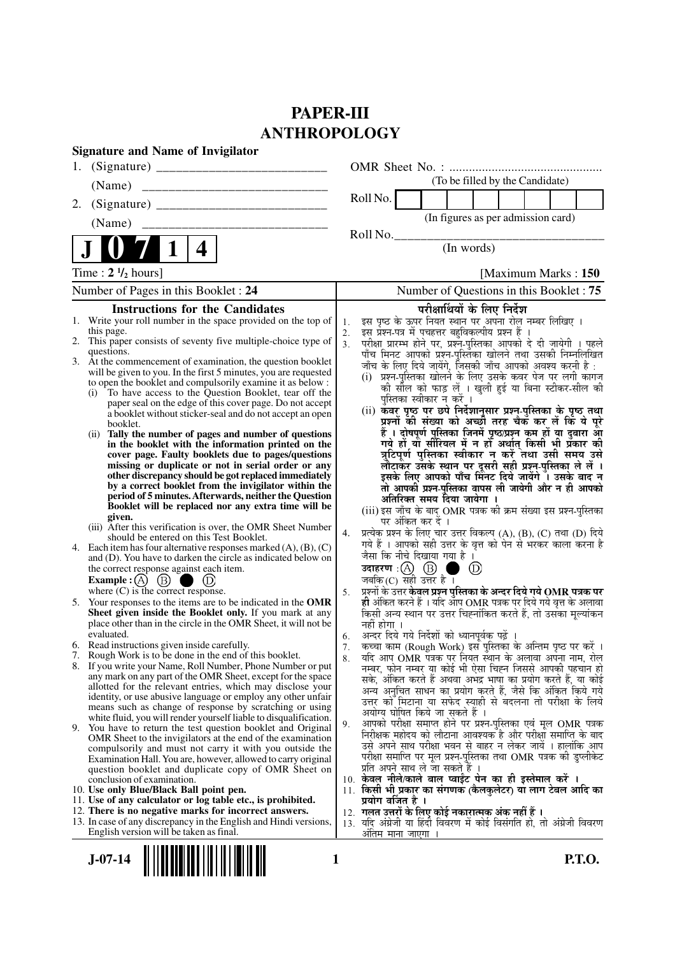# **PAPER-III ANTHROPOLOGY**

|    | <b>Signature and Name of Invigilator</b>                                                                                    |                |                                                                                                                                |
|----|-----------------------------------------------------------------------------------------------------------------------------|----------------|--------------------------------------------------------------------------------------------------------------------------------|
|    |                                                                                                                             |                |                                                                                                                                |
|    | (Name)                                                                                                                      |                | (To be filled by the Candidate)                                                                                                |
| 2. |                                                                                                                             |                | Roll No.                                                                                                                       |
|    | (Name)                                                                                                                      |                | (In figures as per admission card)                                                                                             |
|    |                                                                                                                             |                | Roll No.                                                                                                                       |
|    | 4                                                                                                                           |                | (In words)                                                                                                                     |
|    | Time : $2 \frac{1}{2}$ hours]                                                                                               |                | [Maximum Marks: 150]                                                                                                           |
|    | Number of Pages in this Booklet : 24                                                                                        |                | Number of Questions in this Booklet: 75                                                                                        |
|    | <b>Instructions for the Candidates</b>                                                                                      |                | परीक्षार्थियों के लिए निर्देश                                                                                                  |
| 1. | Write your roll number in the space provided on the top of                                                                  | 1.             | इस पृष्ठ के ऊपर नियत स्थान पर अपना रोल नम्बर लिखिए ।                                                                           |
|    | this page.<br>2. This paper consists of seventy five multiple-choice type of                                                | 2.             | इस प्रश्न-पत्र में पचहत्तर बहुविकल्पीय प्रश्न हैं ।                                                                            |
|    | questions.                                                                                                                  | 3 <sub>1</sub> | परीक्षा प्रारम्भ होने पर, प्रश्न-पुस्तिका आपको दे दी जायेगी । पहले<br>पाँच मिनट आपको प्रश्न-पुस्तिका खोलने तथा उसकी निम्नलिखित |
|    | 3. At the commencement of examination, the question booklet                                                                 |                | जाँच के लिए दिये जायेंगे, जिसकी जाँच आपको अवश्य करनी है :                                                                      |
|    | will be given to you. In the first 5 minutes, you are requested                                                             |                | (i) प्रश्न-पुस्तिका खोलने के लिए उसके कवर पेज पर लगी कागज                                                                      |
|    | to open the booklet and compulsorily examine it as below :<br>(i) To have access to the Question Booklet, tear off the      |                | की सील को फाड़ लें । खुली हुई या बिना स्टीकर-सील की                                                                            |
|    | paper seal on the edge of this cover page. Do not accept                                                                    |                | पुस्तिका स्वीकार न करें ।                                                                                                      |
|    | a booklet without sticker-seal and do not accept an open                                                                    |                | (ii) कवर पृष्ठ पर छपे निर्देशानुसार प्रश्न्-पुस्तिका के पृष्ठ तथा                                                              |
|    | booklet.                                                                                                                    |                | प्रश्नों की संख्या को अच्छों तरह चैकँ कर लें किं ये पूरे<br>हैं । दोषपूर्ण पुस्तिका जिनमें पृष्ठ/प्रश्न कम हों या दुबारा आ     |
|    | (ii) Tally the number of pages and number of questions<br>in the booklet with the information printed on the                |                | गये हों या सीरियल में न हों अर्थात् किसी भी प्रकार की                                                                          |
|    | cover page. Faulty booklets due to pages/questions                                                                          |                | त्रुटिपूर्ण पुस्तिका स्वीकार न करें तथा उसी समय उसे                                                                            |
|    | missing or duplicate or not in serial order or any                                                                          |                | लौटाकर उसके स्थान पर दूसरी सही प्रश्न-पुस्तिका ले लें ।                                                                        |
|    | other discrepancy should be got replaced immediately<br>by a correct booklet from the invigilator within the                |                | इसके लिए आपको पाँच मिनट दिये जायेंगे ँ। उसके बाद न                                                                             |
|    | period of 5 minutes. Afterwards, neither the Question                                                                       |                | तो आपकी प्रश्न-पुस्तिका वापस ली जायेगी और न ही आपको<br>अतिरिक्त समय दिया जायेगा ।                                              |
|    | Booklet will be replaced nor any extra time will be                                                                         |                | (iii) इस जाँच के बाद OMR पत्रक की क्रम संख्या इस प्रश्न-पुस्तिका                                                               |
|    | given.                                                                                                                      |                | पर अंकित कर दें ।                                                                                                              |
|    | (iii) After this verification is over, the OMR Sheet Number<br>should be entered on this Test Booklet.                      | 4.             | प्रत्येक प्रश्न के लिए चार उत्तर विकल्प (A), (B), (C) तथा (D) दिये                                                             |
|    | 4. Each item has four alternative responses marked $(A)$ , $(B)$ , $(C)$                                                    |                | गये हैं । आपको सही उत्तर के वृत्त को पेन से भरकर काला करना है                                                                  |
|    | and (D). You have to darken the circle as indicated below on                                                                |                | जैसा कि नीचे दिखाया गया है ।                                                                                                   |
|    | the correct response against each item.                                                                                     |                | उदाहरण: $(A)$ $(B)$<br>(D)                                                                                                     |
|    | Example : $(A)$ $(B)$<br>(D)<br>where $(C)$ is the correct response.                                                        | 5.             | जबकि (C) सही उत्तर है ।<br>प्रश्नों के उत्तर केवल प्रश्न पुस्तिका के अन्दर दिये गये OMR पत्रक पर                               |
| 5. | Your responses to the items are to be indicated in the OMR                                                                  |                | ही अंकित करने हैं । यदि आप OMR पत्रक पर दिये गये वृत्त के अलावा                                                                |
|    | Sheet given inside the Booklet only. If you mark at any                                                                     |                | किसी अन्य स्थान पर उत्तर चिह्नांकित करते हैं, तो उसका मूल्यांकन                                                                |
|    | place other than in the circle in the OMR Sheet, it will not be                                                             |                | नहीं होगा ।                                                                                                                    |
|    | evaluated.<br>6. Read instructions given inside carefully.                                                                  | 6.             | अन्दर दिये गये निर्देशों को ध्यानपूर्वक पढ़ें                                                                                  |
|    | 7. Rough Work is to be done in the end of this booklet.                                                                     | 7.<br>8.       | कच्चा काम (Rough Work) इस पुस्तिका के अन्तिम पृष्ठ पर करें ।<br>यदि आप OMR पत्रक पर नियत स्थान के अलावा अपना नाम, रोल          |
|    | 8. If you write your Name, Roll Number, Phone Number or put                                                                 |                | नम्बर, फोन नम्बर या कोई भी ऐसा चिह्न जिससे आपकी पहचान हो                                                                       |
|    | any mark on any part of the OMR Sheet, except for the space                                                                 |                | सके, अंकित करते हैं अथवा अभद्र भाषा का प्रयोग करते हैं, या कोई                                                                 |
|    | allotted for the relevant entries, which may disclose your<br>identity, or use abusive language or employ any other unfair  |                | अन्य अनचित साधन का प्रयोग करते हैं, जैसे कि अंकित किये गये                                                                     |
|    | means such as change of response by scratching or using                                                                     |                | उत्तर को मिटाना या सफेद स्याही से बदलना तो परीक्षा के लिये<br>अयोग्य घोषित किये जा सकते हैं ।                                  |
|    | white fluid, you will render yourself liable to disqualification.                                                           | 9.             | आपको परीक्षा समाप्त होने पर प्रश्न-पुस्तिका एवं मूल OMR पत्रक                                                                  |
|    | 9. You have to return the test question booklet and Original<br>OMR Sheet to the invigilators at the end of the examination |                | निरीक्षक महोदय को लौटाना आवश्यक है और परीक्षा समाप्ति के बाद                                                                   |
|    | compulsorily and must not carry it with you outside the                                                                     |                | उसे अपने साथ परीक्षा भवन से बाहर न लेकर जायें । हालांकि आप                                                                     |
|    | Examination Hall. You are, however, allowed to carry original                                                               |                | परीक्षा समाप्ति पर मूल प्रश्न-पुस्तिका तथा OMR पत्रक की डुप्लीकेट                                                              |
|    | question booklet and duplicate copy of OMR Sheet on                                                                         |                | प्रति अपने साथ ले जा सकते हैं ।<br>10. केवल नीले/काले बाल प्वाईट पेन का ही इस्तेमाल करें ।                                     |
|    | conclusion of examination.<br>10. Use only Blue/Black Ball point pen.                                                       |                | 11. किसी भी प्रकार का संगणक (कैलकुलेटर) या लाग टेबल आदि का                                                                     |
|    | 11. Use of any calculator or log table etc., is prohibited.                                                                 |                | प्रयोग वर्जित है ।                                                                                                             |
|    | 12. There is no negative marks for incorrect answers.                                                                       |                | 12. गलत उत्तरों के लिए कोई नकारात्मक अंक नहीं हैं ।                                                                            |
|    | 13. In case of any discrepancy in the English and Hindi versions,                                                           |                | 13. यदि अंग्रेजी या हिंदी विवरण में कोई विसंगति हो, तो अंग्रेजी विवरण                                                          |
|    | English version will be taken as final.                                                                                     |                | अंतिम माना जाएगा                                                                                                               |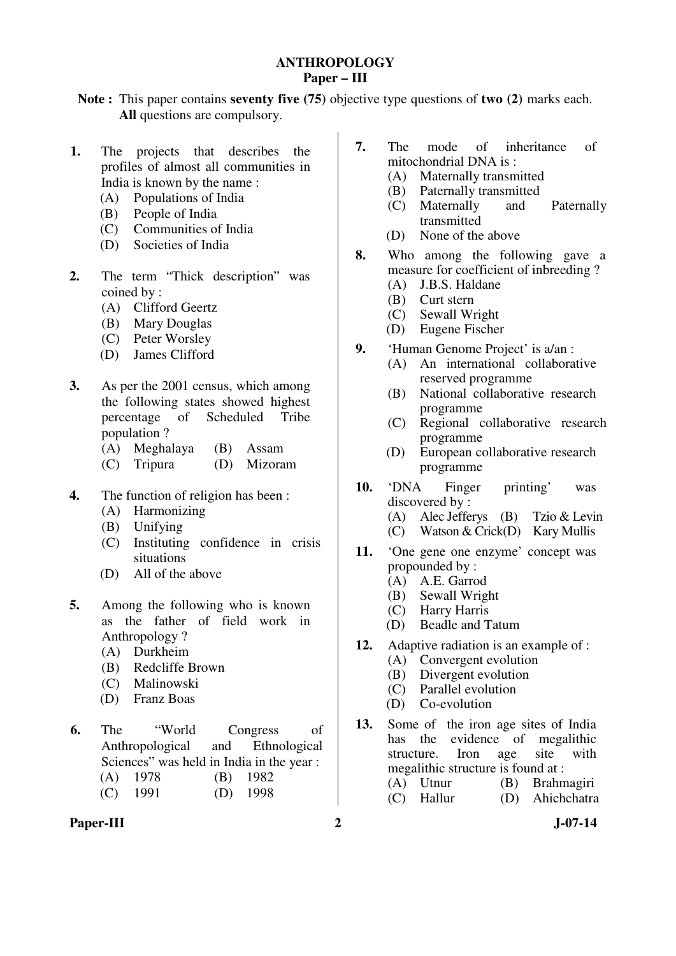### **ANTHROPOLOGY Paper – III**

**Note :** This paper contains **seventy five (75)** objective type questions of **two (2)** marks each. **All** questions are compulsory.

- **1.** The projects that describes the profiles of almost all communities in India is known by the name :
	- (A) Populations of India
	- (B) People of India
	- (C) Communities of India
	- (D) Societies of India
- **2.** The term "Thick description" was coined by :
	- (A) Clifford Geertz
	- (B) Mary Douglas
	- (C) Peter Worsley
	- (D) James Clifford
- **3.** As per the 2001 census, which among the following states showed highest percentage of Scheduled Tribe population ?
	- (A) Meghalaya (B) Assam
	- (C) Tripura (D) Mizoram
- **4.** The function of religion has been :
	- (A) Harmonizing
	- (B) Unifying
	- (C) Instituting confidence in crisis situations
	- (D) All of the above
- **5.** Among the following who is known as the father of field work in Anthropology ?
	- (A) Durkheim
	- (B) Redcliffe Brown
	- (C) Malinowski
	- (D) Franz Boas
- **6.** The "World Congress of Anthropological and Ethnological Sciences" was held in India in the year :
	- (A) 1978 (B) 1982
	- (C) 1991 (D) 1998
- Paper-III 2 J-07-14
- **7.** The mode of inheritance of mitochondrial DNA is :
	- (A) Maternally transmitted
	- (B) Paternally transmitted
	- (C) Maternally and Paternally transmitted
	- (D) None of the above
- **8.** Who among the following gave a measure for coefficient of inbreeding ?<br>(A) J.B.S. Haldane
	- J.B.S. Haldane
	- (B) Curt stern
	- (C) Sewall Wright
	- (D) Eugene Fischer
- **9.** 'Human Genome Project' is a/an :
	- (A) An international collaborative reserved programme
	- (B) National collaborative research programme
	- (C) Regional collaborative research programme
	- (D) European collaborative research programme
- **10.** 'DNA Finger printing' was discovered by :<br>(A) Alec Jeffe
	- (A) Alec Jefferys (B) Tzio & Levin
	- (C) Watson & Crick(D) Kary Mullis
- **11.** 'One gene one enzyme' concept was propounded by:
	- (A) A.E. Garrod
	- (B) Sewall Wright
	- (C) Harry Harris
	- (D) Beadle and Tatum
- **12.** Adaptive radiation is an example of :
	- (A) Convergent evolution
	- (B) Divergent evolution
	- (C) Parallel evolution
	- (D) Co-evolution
- **13.** Some of the iron age sites of India has the evidence of megalithic structure. Iron age site with megalithic structure is found at :
	- (A) Utnur (B) Brahmagiri (C) Hallur (D) Ahichchatra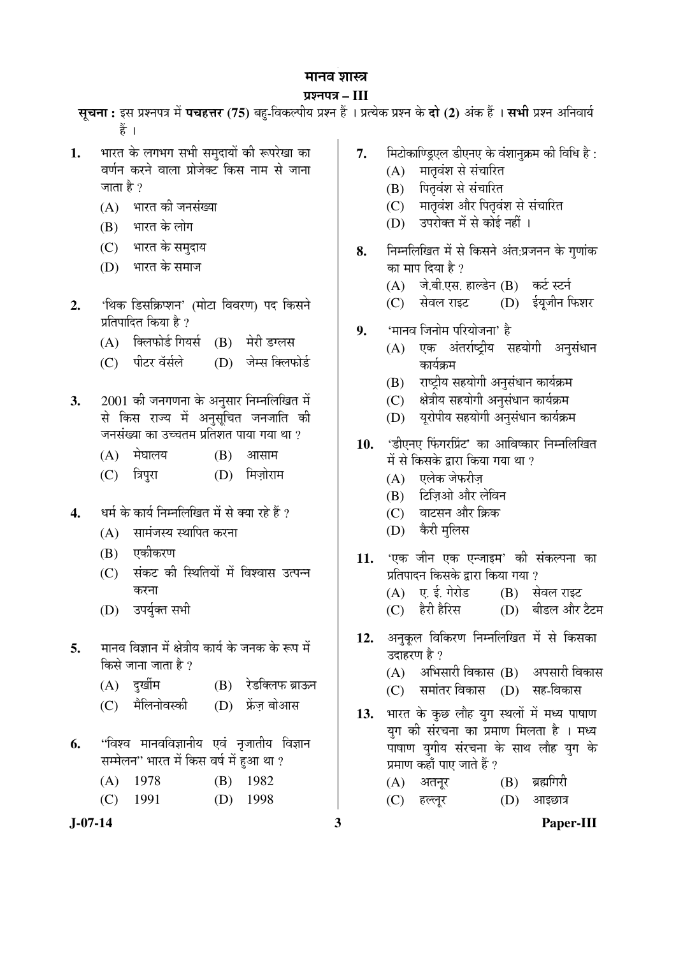#### ¯ÖÏ¿®Ö¯Ö¡Ö **– III**

**सृचना:** इस प्रश्नपत्र में **पचहत्तर (75)** बह-विकल्पीय प्रश्न हैं । प्रत्येक प्रश्न के **दो (2)** अंक हैं । सभी प्रश्न अनिवार्य हैं ।

- 1. भारत के लगभग सभी समुदायों की रूपरेखा का <u>वर्णन करने वाला प्रोजेक्ट किस नाम से जाना</u> जाता है ?
	- $(A)$  भारत की जनसंख्या
	- $(B)$  भारत के लोग
	- (C) भारत के समदाय
	- (D) भारत के समाज
- 2. 'थिक डिसक्रिप्शन' (मोटा विवरण) पद किसने प्रतिपादित किया है ?
	- $(A)$  क्लिफोर्ड गियर्स  $(B)$  मेरी डग्लस
	- (C) पीटर वॅर्सले (D) जेम्स क्लिफोर्ड
- **3.** 2001 की जनगणना के अनुसार निम्नलिखित में से किस राज्य में अनुसूचित जनजाति की जनसंख्या का उच्चतम प्रतिशत पाया गया था ?
	- $(A)$  मेघालय  $(B)$  आसाम
	- (C) त्रिपुरा (D) मिज़ोराम
- **4.** यर्म के कार्य निम्नलिखित में से क्या रहे हैं ?
	- $(A)$  सामंजस्य स्थापित करना
	- $(B)$  एकीकरण
	- (C) संकट की स्थितियों में विश्वास उत्पन्न करना
	- (D) उपर्युक्त सभी
- 5. मानव विज्ञान में क्षेत्रीय कार्य के जनक के रूप में किसे जाना जाता है ?
	- (A) दुर्खीम (B) रेडक्लिफ ब्राऊन
	- (C) मैलिनोवस्की (D) फ्रेंज़ बोआस
- **6.** "विश्व मानवविज्ञानीय एवं नृजातीय विज्ञान सम्मेलन'' भारत में किस वर्ष में हुआ था ?

| $(A)$ 1978 | $(B)$ 1982 |
|------------|------------|
| $(C)$ 1991 | $(D)$ 1998 |

- 7. मिटोकाण्डिएल डीएनए के वंशानुक्रम की विधि है :
	- (A) मातृवंश से संचारित
	- (B) पितृवंश से संचारित
	- (C) मातृवंश और पितृवंश से संचारित
	- (D) उपरोक्त में से कोई नहीं ।
- 8. निम्नलिखित में से किसने अंत:प्रजनन के गुणांक का माप दिया है ?
	- (A) जे.बी.एस. हाल्डेन (B) कर्ट स्टर्न
	- (C) सेवल राइट (D) ईयूजीन फिशर
- **9.** 'मानव जिनोम परियोजना' है
	- (A) एक अंतर्राष्ट्रीय सहयोगी अनुसंधान कार्यक्रम
	- (B) राष्ट्रीय सहयोगी अनुसंधान कार्यक्रम
	- (C) क्षेत्रीय सहयोगी अनुसंधान कार्यक्रम
	- (D) युरोपीय सहयोगी अनुसंधान कार्यक्रम
- 10. 'डीएनए फिंगरप्रिंट' का आविष्कार निम्नलिखित में से किसके द्वारा किया गया था ?
	- $(A)$  एलेक जेफरीज़
	- (B) टिजिओ और लेविन
	- (C) वाटसन और क्रिक
	- (D) केरी मलिस
- 11. 'एक जीन एक एन्जाइम' की संकल्पना का प्रतिपादन किसके द्वारा किया गया ?  $(A)$  ए. ई. गेरोड  $(B)$  सेवल राइट
	- (C) हैरी हैरिस (D) बीडल और टैटम
- 12. अनुकूल विकिरण निम्नलिखित में से किसका उदाहरण है $2$  $(A)$  अभिसारी विकास  $(B)$  अपसारी विकास
	- (C) समांतर विकास (D) सह-विकास
- 13. भारत के कुछ लौह युग स्थलों में मध्य पाषाण यग की संरचना का प्रमाण मिलता है । मध्य पाषाण युगीय संरचना के साथ लौह युग के प्रमाण कहाँ पाए जाते हैं ?
	- $(A)$  अतनूर  $(B)$  ब्रह्मगिरी (C) हल्लूर (D) आइछात्र

**J-07-14 3 Paper-III**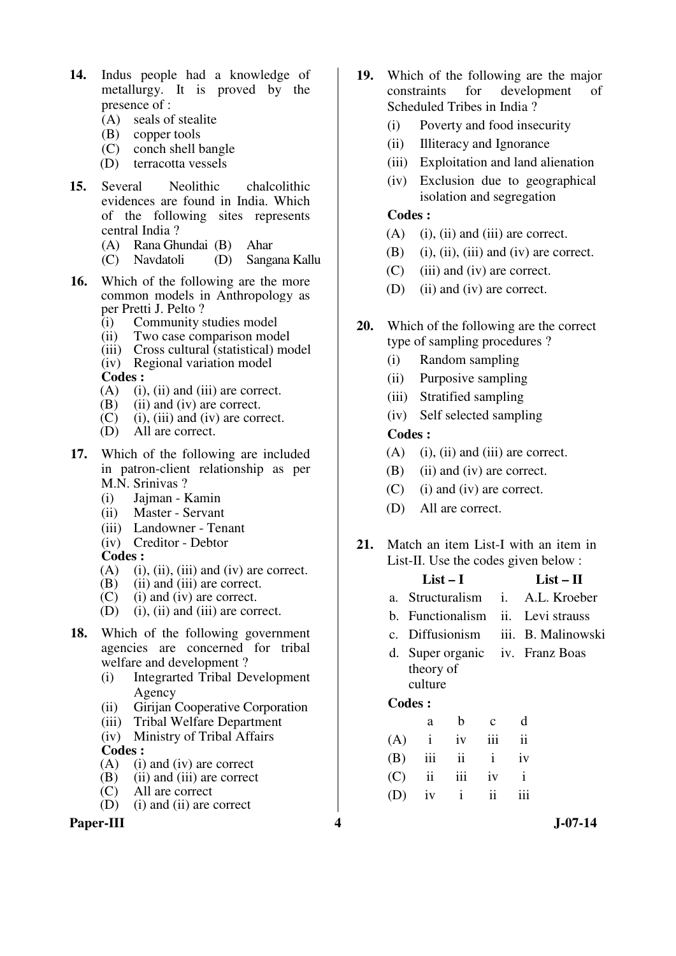- **14.** Indus people had a knowledge of metallurgy. It is proved by the presence of :
	- (A) seals of stealite
	- (B) copper tools
	- (C) conch shell bangle
	- (D) terracotta vessels
- **15.** Several Neolithic chalcolithic evidences are found in India. Which of the following sites represents central India ?
	- (A) Rana Ghundai (B) Ahar
	- (C) Navdatoli (D) Sangana Kallu
- **16.** Which of the following are the more common models in Anthropology as per Pretti J. Pelto ?
	- (i) Community studies model
	- (ii) Two case comparison model
	- (iii) Cross cultural (statistical) model
	- (iv) Regional variation model

**Codes :** 

- (A) (i), (ii) and (iii) are correct.
- (B) (ii) and (iv) are correct.<br>(C) (i), (iii) and (iv) are cor-
- $(i)$ ,  $(iii)$  and  $(iv)$  are correct.
- (D) All are correct.
- **17.** Which of the following are included in patron-client relationship as per M.N. Srinivas ?
	- (i) Jajman Kamin
	- (ii) Master Servant
	- (iii) Landowner Tenant
	- (iv) Creditor Debtor

**Codes :** 

- $(A)$  (i), (ii), (iii) and (iv) are correct.
- (B) (ii) and (iii) are correct.
- (C) (i) and (iv) are correct.
- (D) (i), (ii) and (iii) are correct.
- **18.** Which of the following government agencies are concerned for tribal welfare and development ?
	- (i) Integrarted Tribal Development Agency
	- (ii) Girijan Cooperative Corporation
	- (iii) Tribal Welfare Department
	- (iv) Ministry of Tribal Affairs

# **Codes :**

- $(A)$  (i) and (iv) are correct
- (B) (ii) and (iii) are correct<br>(C) All are correct
- All are correct
- (D) (i) and (ii) are correct

## **Paper-III 4 J-07-14**

- **19.** Which of the following are the major constraints for development of Scheduled Tribes in India ?
	- (i) Poverty and food insecurity
	- (ii) Illiteracy and Ignorance
	- (iii) Exploitation and land alienation
	- (iv) Exclusion due to geographical isolation and segregation

### **Codes :**

- (A) (i), (ii) and (iii) are correct.
- (B) (i), (ii), (iii) and (iv) are correct.
- (C) (iii) and (iv) are correct.
- (D) (ii) and (iv) are correct.
- **20.** Which of the following are the correct type of sampling procedures ?
	- (i) Random sampling
	- (ii) Purposive sampling
	- (iii) Stratified sampling
	- (iv) Self selected sampling

#### **Codes :**

- (A) (i), (ii) and (iii) are correct.
- (B) (ii) and (iv) are correct.
- (C) (i) and (iv) are correct.
- (D) All are correct.
- **21.** Match an item List-I with an item in List-II. Use the codes given below :

| a. Structuralism i. A.L. Kroeber   |
|------------------------------------|
|                                    |
|                                    |
| c. Diffusionism iii. B. Malinowski |
|                                    |
|                                    |
|                                    |
|                                    |
|                                    |
|                                    |
|                                    |

|  | $(B)$ iii ii i iv |  |
|--|-------------------|--|
|  | $(C)$ ii iii iv i |  |
|  | $(D)$ iv i ii iii |  |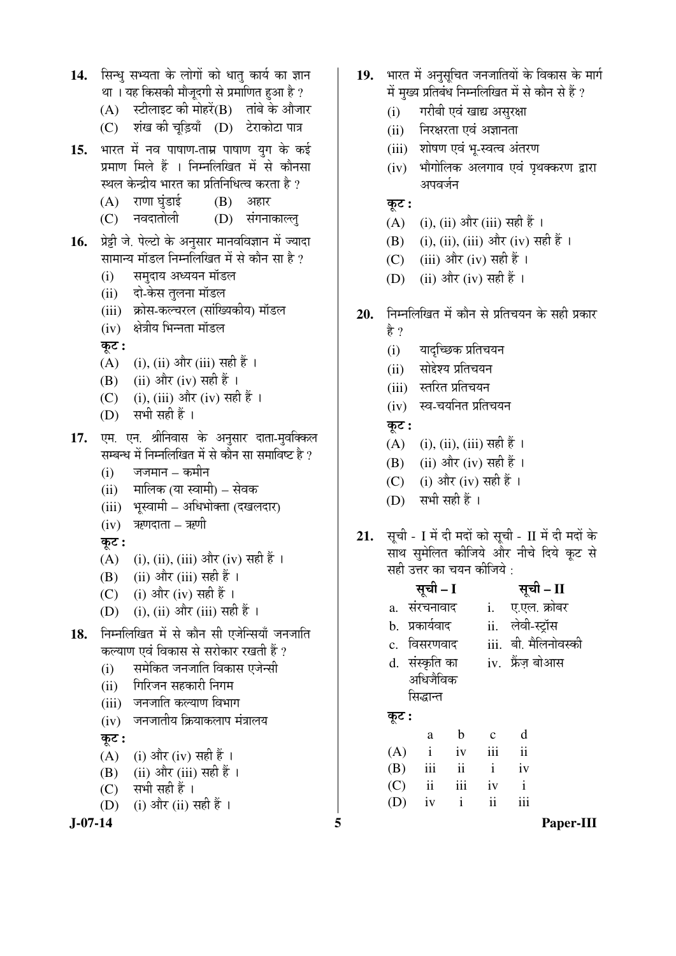14. सिन्ध सभ्यता के लोगों को धात कार्य का ज्ञान था । यह किसकी मौजूदगी से प्रमाणित हुआ है ?  $(A)$  स्टीलाइट की मोहरें $(B)$  तांबे के औजार (C) शंख की चूड़ियाँ (D) टेराकोटा पात्र 15. भारत में नव पाषाण-ताम्र पाषाण युग के कई प्रमाण मिले हैं । निम्नलिखित में से कौनसा स्थल केन्द्रीय भारत का प्रतिनिधित्व करता है ?  $(A)$  राणा घुंडाई  $(B)$  अहार (C) नवदातोली (D) संगनाकाल्लु 16. प्रेट्टी जे. पेल्टो के अनुसार मानवविज्ञान में ज्यादा सामान्य मॉडल निम्नलिखित में से कौन सा है ? (i) समुदाय अध्ययन मॉडल (ii) दो-केस तुलना मॉडल (iii) क्रोस-कल्चरल (सांख्यिकीय) मॉडल (iv) क्षेत्रीय भिन्नता मॉडल  $\overline{q}$ ः (A) (i), (ii) और (iii) सही हैं । (B) (ii) और (iv) सही हैं । (C) (i), (iii) और (iv) सही हैं ।  $(D)$  सभी सही हैं। 17. एम. एन. श्रीनिवास के अनुसार दाता-मुवक्किल सम्बन्ध में निम्नलिखित में से कौन सा समाविष्ट है ?  $(i)$  जजमान – कमीन (ii) मालिक (या स्वामी) – सेवक (iii) भूस्वामी – अधिभोक्ता (दखलदार)  $(iv)$  ऋणदाता – ऋणी  $\overline{\phi}$ : (A) (i), (ii), (iii) और (iv) सही हैं । (B)  $(ii)$  और  $(iii)$  सही हैं । (C) (i) और (iv) सही हैं । (D) (i), (ii) और (iii) सही हैं । 18. निम्नलिखित में से कौन सी एजेन्सियाँ जनजाति कल्याण एवं विकास से सरोकार रखती हैं ? (i) समेकित जनजाति विकास एजेन्सी (ii) गिरिजन सहकारी निगम (iii) जनजाति कल्याण विभाग  $(iv)$  जनजातीय क्रियाकलाप मंत्रालय Ûæú™ü **:** (A) (i) और (iv) सही हैं ।  $(B)$  (ii) और (iii) सही हैं ।  $(C)$  सभी सही हैं।

(D) (i) और (ii) सही हैं ।

- 19. भारत में अनसचित जनजातियों के विकास के मार्ग में मुख्य प्रतिबंध निम्नलिखित में से कौन से हैं ?
	- (i) गरीबी एवं खाद्य असुरक्षा
	- (ii) निरक्षरता एवं अज्ञानता
	- (iii) शोषण एवं भ-स्वत्व अंतरण
	- (iv) भौगोलिक अलगाव एवं पृथक्करण द्वारा अपवर्जन
	- $\overline{\phi}$ :
	- (A)  $(i)$ ,  $(ii)$  और  $(iii)$  सही हैं ।
	- (B) (i), (ii), (iii) और (iv) सही हैं ।
	- (C) (iii) और (iv) सही हैं ।
	- (D) (ii) और (iv) सही हैं ।
- 20. ਜਿਸਕਾਗਿਯਿਗ में कौन से प्रतिचयन के सही प्रकार
	- है ?
	- (i) यादच्छिक प्रतिचयन
	- (ii) सोद्देश्य प्रतिचयन
	- (iii) स्तरित प्रतिचयन
	- $(iv)$  स्व-चयनित प्रतिचयन

कुट :

- $(A)$  (i), (ii), (iii) सही हैं ।
- (B) (ii) और (iv) सही हैं ।
- (C) (i) और (iv) सही हैं।
- $(D)$  सभी सही हैं।
- 21. सूची I में दी मदों को सूची II में दी मदों के साथ समेलित कीजिये और नीचे दिये कूट से <u>सही उत्तर का चयन कीजिये :</u>

|       | सूची – I       |                         |              | सूची – II               |
|-------|----------------|-------------------------|--------------|-------------------------|
|       | a. संरचनावाद   |                         |              | i. ए.एल. क्रोबर         |
|       | b. प्रकार्यवाद |                         |              | ii. लेवी-स्ट्रॉस        |
|       | c. विसरणवाद    |                         |              | iii. बी. मैलिनोवस्की    |
|       | d. संस्कृति का |                         |              | iv. फ्रेंज़ बोआस        |
|       | अधिजैविक       |                         |              |                         |
|       | सिद्धान्त      |                         |              |                         |
| कूट : |                |                         |              |                         |
|       | a              | b                       | $\mathbf c$  | d                       |
| (A)   | $\mathbf{i}$   | iv                      | iii          | $\overline{\mathbf{i}}$ |
| (B)   | iii            | $\overline{\mathbf{1}}$ | $\mathbf{i}$ | iv                      |

 (C) ii iii iv i  $(D)$  iv i ii iii

**J-07-14 5 Paper-III**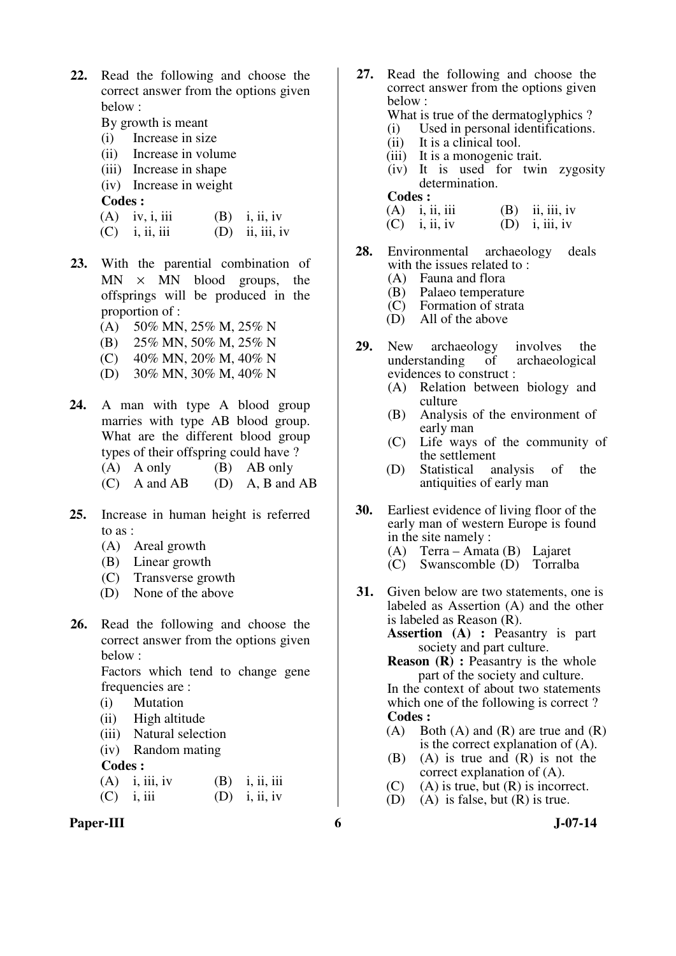- **22.** Read the following and choose the correct answer from the options given below :
	- By growth is meant
	- (i) Increase in size
	- (ii) Increase in volume
	- (iii) Increase in shape
	- (iv) Increase in weight

**Codes :** 

- (A) iv, i, iii (B) i, ii, iv
- $(C)$  i, ii, iii  $(D)$  ii, iii, iv
- **23.** With the parential combination of  $MN \times MN$  blood groups, the offsprings will be produced in the proportion of :
	- (A) 50% MN, 25% M, 25% N
	- (B) 25% MN, 50% M, 25% N
	- (C) 40% MN, 20% M, 40% N
	- (D) 30% MN, 30% M, 40% N
- **24.** A man with type A blood group marries with type AB blood group. What are the different blood group types of their offspring could have ? (A) A only (B) AB only
	- (C) A and AB (D) A, B and AB
- **25.** Increase in human height is referred to as :
	- (A) Areal growth
	- (B) Linear growth
	- (C) Transverse growth
	- (D) None of the above
- **26.** Read the following and choose the correct answer from the options given below :

 Factors which tend to change gene frequencies are :

- (i) Mutation
- (ii) High altitude
- (iii) Natural selection
- (iv) Random mating

**Codes :** 

| $(A)$ i, iii, iv | $(B)$ i, ii, iii |
|------------------|------------------|
| $(C)$ i, iii     | $(D)$ i, ii, iv  |

Paper-III 6 J-07-14

- **27.** Read the following and choose the correct answer from the options given below :
	- What is true of the dermatoglyphics ?<br>(i) Used in personal identifications.
	- (i) Used in personal identifications.<br>(ii) It is a clinical tool.
	- It is a clinical tool.
	- (iii) It is a monogenic trait.
	- (iv) It is used for twin zygosity determination.
	- **Codes :**

(A) i, ii, iii (B) ii, iii, iv (C) i, ii, iv (D) i, iii, iv  $(D)$  i, iii, iv

- 
- **28.** Environmental archaeology deals with the issues related to :<br>(A) Fauna and flora
	- (A) Fauna and flora<br>(B) Palaeo temperat
	- (B) Palaeo temperature<br>(C) Formation of strata
	- (C) Formation of strata<br>(D) All of the above
	- All of the above
- **29.** New archaeology involves the understanding of archaeological archaeological evidences to construct :
	- (A) Relation between biology and culture
	- (B) Analysis of the environment of early man
	- (C) Life ways of the community of the settlement<br>Statistical and
	- (D) Statistical analysis of the antiquities of early man
- **30.** Earliest evidence of living floor of the early man of western Europe is found in the site namely :<br>(A)  $Terra - Amat$ 
	- (A) Terra Amata (B) Lajaret
	- Swanscomble (D) Torralba
- **31.** Given below are two statements, one is labeled as Assertion (A) and the other is labeled as Reason (R).

**Assertion (A) :** Peasantry is part society and part culture.

**Reason (R) :** Peasantry is the whole part of the society and culture.

 In the context of about two statements which one of the following is correct ? **Codes :** 

- (A) Both (A) and (R) are true and  $(R)$ is the correct explanation of (A).
- (B) (A) is true and (R) is not the correct explanation of (A).
- (C) (A) is true, but (R) is incorrect.<br>(D) (A) is false, but (R) is true.
- (A) is false, but  $(R)$  is true.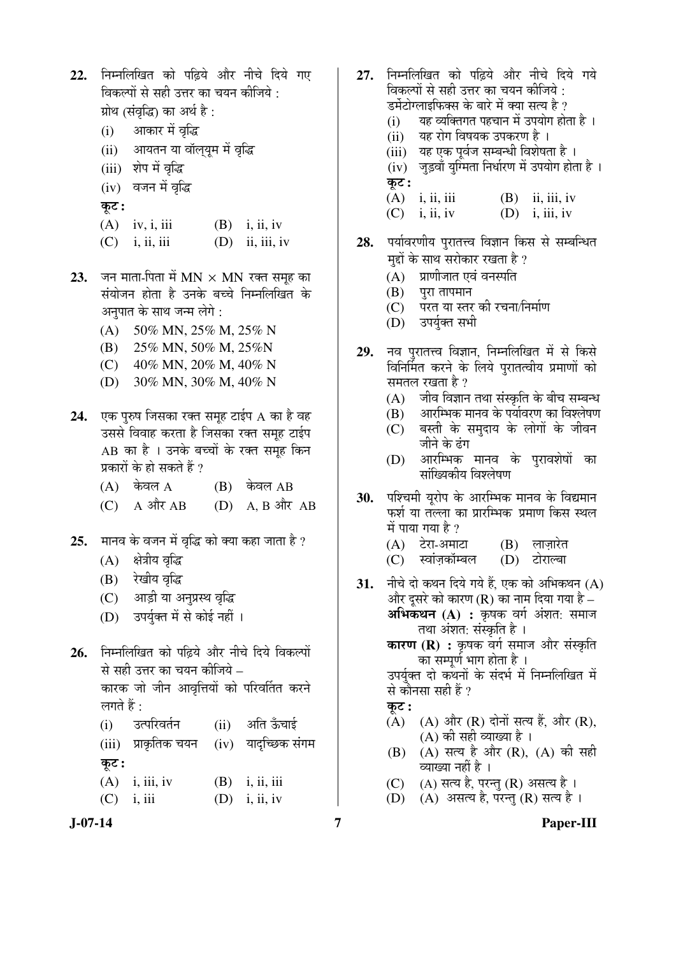- 22. निम्नलिखित को पढिये और नीचे दिये गए विकल्पों से सही उत्तर का चयन कीजिये : प्रोथ (संवृद्धि) का अर्थ है :
	- $(i)$  आकार में वृद्धि
	- (ii) आयतन या वॉलयम में वृद्धि
	- (iii) शेप में वृद्धि
	- (iv) वजन में वृद्धि
	- $\overline{\phi}$ :
	- (A) iv, i, iii (B) i, ii, iv
	- $(C)$  i, ii, iii  $(D)$  ii, iii, iv
- 23. जन माता-पिता में MN × MN रक्त समूह का संयोजन होता है उनके बच्चे निम्नलिखित के अनुपात के साथ जन्म लेगे :
	- (A) 50% MN, 25% M, 25% N
	- (B) 25% MN, 50% M, 25%N
	- (C) 40% MN, 20% M, 40% N
	- (D) 30% MN, 30% M, 40% N
- 24. **एक पुरुष जिसका रक्त समुह टाईप A** का है वह उससे विवाह करता है जिसका रक्त समूह टाईप AB का है । उनके बच्चों के रक्त समह किन प्रकारों के हो सकते हैं ?
	- $(A)$  केवल  $A$   $(B)$  केवल  $AB$
	- $(C)$  A  $\overrightarrow{AT}$  AB  $(D)$  A, B  $\overrightarrow{AT}$  AB
- **25.** मानव के वजन में वृद्धि को क्या कहा जाता है ?
	- (A) क्षेत्रीय वृद्धि
	- (B) रेखीय वृद्धि
	- (C) आड़ी या अनुप्रस्थ वृद्धि
	- (D) उपर्युक्त में से कोई नहीं ।
- 26. निम्नलिखित को पढिये और नीचे दिये विकल्पों से सही उत्तर का चयन कीजिये – कारक जो जीन आवृत्तियों को परिवर्तित करने लगते हैं $\cdot$ 
	- (i) उत्परिवर्तन (ii) अति ऊँचाई  $(iii)$  प्राकृतिक चयन  $(iv)$  यादुच्छिक संगम कूट :
	- $(A)$  i, iii, iv  $(B)$  i, ii, iii  $(C)$  i, iii  $(D)$  i, ii, iv
- 
- 27. निम्नलिखित को पढ़िये और नीचे दिये गये िवकल्पों से सही उत्तर का चयन कीजिये : डर्मेटोग्लाइफिक्स के बारे में क्या सत्य है ?  $(i)$  यह व्यक्तिगत पहचान में उपयोग होता है । (ii) यह रोग विषयक उपकरण है । (iii) यह एक पूर्वज सम्बन्धी विशेषता है ।
	- $(iv)$  जुड़वाँ युग्मिता निर्धारण में उपयोग होता है। कट:
	- (A) i, ii, iii (B) ii, iii, iv  $(C)$  i, ii, iv  $(D)$  i, iii, iv
- 28. पर्यावरणीय पुरातत्त्व विज्ञान किस से सम्बन्धित मद्दों के साथ सरोकार रखता है ?
	- $(A)$  प्राणीजात एवं वनस्पति
	- $(B)$  पुरा तापमान
	- (C) परत या स्तर की रचना/निर्माण
	- (D) उपर्युक्त सभी
- 29. नव पुरातत्त्व विज्ञान, निम्नलिखित में से किसे िवनिर्मित करने के लिये पुरातत्वीय प्रमाणों को समतल रखता है ?
	- $(A)$  जीव विज्ञान तथा संस्कृति के बीच सम्बन्ध
	- $\overline{(\textbf{B})}$  and  $\overline{(\textbf{B})}$  and  $\overline{(\textbf{B})}$  and  $\overline{(\textbf{B})}$
	- $(C)$  बस्ती के समदाय के लोगों के जीवन जीने के ढंग
	- $(D)$  आरम्भिक मानव के परावशेषों का सांख्यिकीय विश्लेषण
- **30.** पश्चिमी युरोप के आरम्भिक मानव के विद्यमान फर्श या तल्ला का प्रारम्भिक प्रमाण किस स्थल में पाया गया है ?
	- (A) टेरा-अमाटा (B) लाज़ारेत<br>(C) स्वांज़कॉम्बल (D) टोराल्बा
	- (C) स्वांज़कॉम्बल
- 31. नीचे दो कथन दिये गये हैं, एक को अभिकथन (A) और दुसरे को कारण (R) का नाम दिया गया है – **अभिकथन (A) :** कृषक वर्ग अंशत: समाज तथा अंशत: संस्कृति है ।
	- **कारण (R) :** कृषक वर्ग समाज और संस्कृति का सम्पूर्ण भाग होता है ।

उपर्युक्त दो कथनों के संदर्भ में निम्नलिखित में से कौनसा सही हैं ?

कट :

- $(A)$   $(A)$  और  $(R)$  दोनों सत्य हैं, और  $(R)$ , (A) की सही व्याख्या है ।
- (B) (A) सत्य है और (R), (A) की सही व्याख्या नहीं है ।
- $(C)$  (A) सत्य है, परन्तु (R) असत्य है।
- $(D)$   $(A)$  असत्य है, परन्तु  $(R)$  सत्य है।
- 

# **J-07-14 7 Paper-III**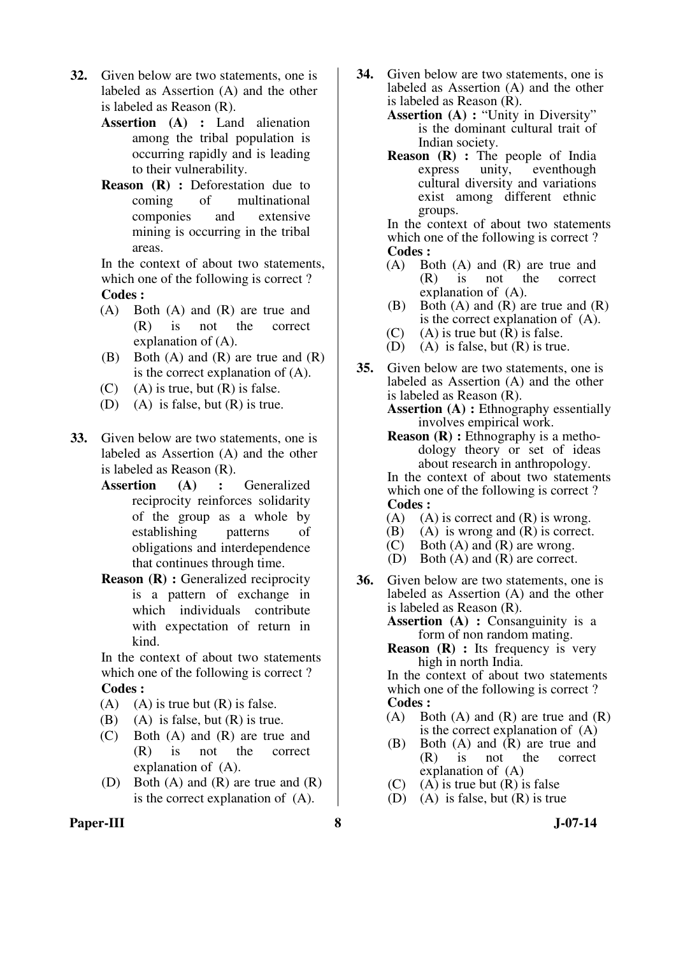- **32.** Given below are two statements, one is labeled as Assertion (A) and the other is labeled as Reason (R).
	- **Assertion (A) :** Land alienation among the tribal population is occurring rapidly and is leading to their vulnerability.
	- **Reason (R) :** Deforestation due to coming of multinational componies and extensive mining is occurring in the tribal areas.

 In the context of about two statements, which one of the following is correct ? **Codes :** 

- (A) Both (A) and (R) are true and (R) is not the correct explanation of (A).
- (B) Both (A) and (R) are true and (R) is the correct explanation of (A).
- $(C)$  (A) is true, but  $(R)$  is false.
- (D) (A) is false, but (R) is true.
- **33.** Given below are two statements, one is labeled as Assertion (A) and the other is labeled as Reason (R).
	- **Assertion (A) :** Generalized reciprocity reinforces solidarity of the group as a whole by establishing patterns of obligations and interdependence that continues through time.
	- **Reason (R) :** Generalized reciprocity is a pattern of exchange in which individuals contribute with expectation of return in kind.

 In the context of about two statements which one of the following is correct ? **Codes :** 

- (A) (A) is true but  $(R)$  is false.
- (B) (A) is false, but  $(R)$  is true.
- (C) Both (A) and (R) are true and (R) is not the correct explanation of (A).
- (D) Both (A) and (R) are true and (R) is the correct explanation of (A).
- **34.** Given below are two statements, one is labeled as Assertion (A) and the other is labeled as Reason (R).
	- **Assertion (A) :** "Unity in Diversity" is the dominant cultural trait of Indian society.
	- **Reason (R) :** The people of India express unity, eventhough eventhough cultural diversity and variations exist among different ethnic groups.

 In the context of about two statements which one of the following is correct ? **Codes :** 

- (A) Both (A) and (R) are true and (R) is not the correct  $\int$  is not explanation of (A).
- (B) Both (A) and (R) are true and (R) is the correct explanation of (A).
- (C) (A) is true but  $(R)$  is false.<br>(D) (A) is false, but  $(R)$  is true
- $(A)$  is false, but  $(R)$  is true.
- **35.** Given below are two statements, one is labeled as Assertion (A) and the other is labeled as Reason (R). **Assertion (A) :** Ethnography essentially
	- involves empirical work.
	- **Reason (R) :** Ethnography is a methodology theory or set of ideas about research in anthropology.

 In the context of about two statements which one of the following is correct ? **Codes :** 

- (A) (A) is correct and  $(R)$  is wrong.
- (B) (A) is wrong and (R) is correct.
- (C) Both  $(A)$  and  $(R)$  are wrong.
- (D) Both (A) and (R) are correct.
- **36.** Given below are two statements, one is labeled as Assertion (A) and the other is labeled as Reason (R).

**Assertion (A) :** Consanguinity is a form of non random mating.

**Reason** (**R**) : Its frequency is very high in north India.

 In the context of about two statements which one of the following is correct ? **Codes :** 

- (A) Both (A) and (R) are true and (R) is the correct explanation of (A)
- (B) Both (A) and (R) are true and (R) is not the correct explanation of (A)
- (C) (A) is true but  $(R)$  is false
- (D) (A) is false, but (R) is true

**Paper-III 8 J-07-14**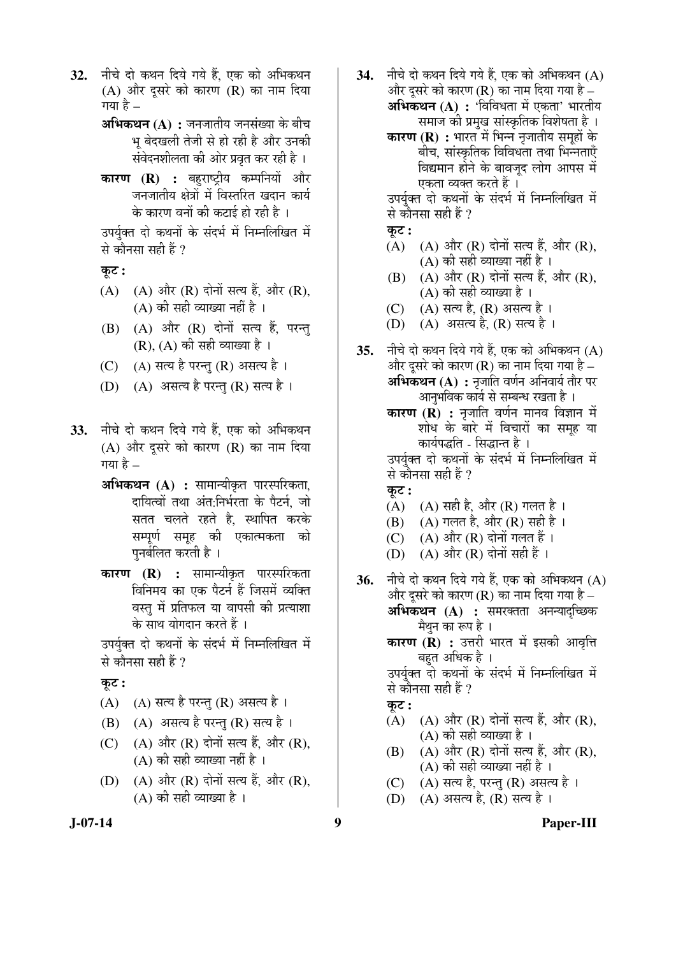- 32. नीचे दो कथन दिये गये हैं, एक को अभिकथन  $(A)$  और दूसरे को कारण  $(R)$  का नाम दिया गया है  $-$ 
	- **अभिकथन (A) :** जनजातीय जनसंख्या के बीच भू बेदखली तेजी से हो रही है और उनकी संवेदनशीलता की ओर प्रवृत कर रही है ।
	- **कारण (R) :** बहुराष्ट्रीय कम्पनियों और जनजातीय क्षेत्रों में विस्तरित खदान कार्य के कारण वनों की कटाई हो रही है ।

उपर्युक्त दो कथनों के संदर्भ में निम्नलिखित में से कौनसा सही हैं ?

कट :

- $(A)$   $(A)$  और  $(R)$  दोनों सत्य हैं, और  $(R)$ ,  $(A)$  की सही व्याख्या नहीं है ।
- $(B)$   $(A)$  और  $(R)$  दोनों सत्य हैं, परन्तु  $(R)$ ,  $(A)$  की सही व्याख्या है ।
- $(C)$  (A) सत्य है परन्तु (R) असत्य है।
- $(D)$   $(A)$  असत्य है परन्तु (R) सत्य है।
- **33.** नीचे दो कथन दिये गये हैं. एक को अभिकथन (A) और दुसरे को कारण (R) का नाम दिया गया है –
	- **अभिकथन (A) :** सामान्यीकृत पारस्परिकता, दायित्वों तथा अंत:निर्भरता के पैटर्न, जो सतत चलते रहते है, स्थापित करके सम्पूर्ण समूह की एकात्मकता को पुनर्बलित करती है ।
	- **कारण (R) :** सामान्यीकृत पारस्परिकता विनिमय का एक पैटर्न हैं जिसमें व्यक्ति वस्तु में प्रतिफल या वापसी की प्रत्याशा के साथ योगदान करते हैं ।

उपर्युक्त दो कथनों के संदर्भ में निम्नलिखित में से कौनसा सही हैं ?

Ûæú™ü **:**

- $(A)$   $(A)$  सत्य है परन्तु  $(R)$  असत्य है ।
- $(B)$   $(A)$  असत्य है परन्तु  $(R)$  सत्य है ।
- $(C)$   $(A)$  और  $(R)$  दोनों सत्य हैं. और  $(R)$ ,  $(A)$  की सही व्याख्या नहीं है)।
- (D)  $(A)$  और  $(R)$  दोनों सत्य हैं, और  $(R)$ ,  $(A)$  की सही व्याख्या है ।
- **34.** नीचे दो कथन दिये गये हैं. एक को अभिकथन (A) और दुसरे को कारण (R) का नाम दिया गया है – **अभिकथन (A) :** 'विविधता में एकता' भारतीय
	- समाज की प्रमख सांस्कृतिक विशेषता है । **कारण (R) :** भारत में भिन्न नृजातीय समुहों के बीच, सांस्कृतिक विविधता तथा भिन्नताएँ <u>विद्यमान होने के बावजुद लोग आपस में</u>

एकता व्यक्त करते हैं । उपर्यक्त दो कथनों के संदर्भ में निम्नलिखित में से कौनसा सही हैं ?

कट :

- $(A)$   $(A)$  और  $(R)$  दोनों सत्य हैं. और  $(R)$ ,  $(A)$  की सही व्याख्या नहीं है ।
- $(B)$   $(A)$  और  $(R)$  दोनों सत्य हैं, और  $(R)$ , (A) की सही व्याख्या है ।
- (C) (A) सत्य है, (R) असत्य है ।
- $(D)$   $(A)$  असत्य है,  $(R)$  सत्य है ।
- **35.** नीचे दो कथन दिये गये हैं. एक को अभिकथन (A) और दुसरे को कारण (R) का नाम दिया गया है – **अभिकथन (A) :** नृजाति वर्णन अनिवार्य तौर पर आनुभविक कार्य से सम्बन्ध रखता है ।

**कारण (R) :** नृजाति वर्णन मानव विज्ञान में शोध के बारे में विचारों का समूह या ँकार्यपद्धति - सिद्धान्त है ।

उपर्युक्त दो कथनों के संदर्भ में निम्नलिखित में से कौनसा सही हैं ?

- <u>क</u>ट:
- (A)  $(A)$  सही है, और (R) गलत है।
- (B) (A) गलत है, और (R) सही है ।
- (C)  $(A)$  और  $(R)$  दोनों गलत हैं।
- $(D)$   $(A)$  और  $(R)$  दोनों सही हैं।
- **36.** नीचे दो कथन दिये गये हैं, एक को अभिकथन (A) और दुसरे को कारण (R) का नाम दिया गया है  $-$ **अभिकथन (A) :** समरक्तता अनन्यादुच्छिक मैथन का रूप है । **कारण (R) :** उत्तरी भारत में इसकी आवृत्ति बहत अधिक है ।

उपर्युक्त दो कथनों के संदर्भ में निम्नलिखित में से कौनसा सही हैं ?

कट :

- $(A)$   $(A)$  और  $(R)$  दोनों सत्य हैं, और  $(R)$ , (A) की सही व्याख्या है ।
- $(B)$   $(A)$  और  $(R)$  दोनों सत्य हैं. और  $(R)$ , (A) की सही व्याख्या नहीं है ।
- (C) (A) सत्य है, परन्तु (R) असत्य है।
- (D) (A) असत्य है, (R) सत्य है ।

**J-07-14 9 Paper-III**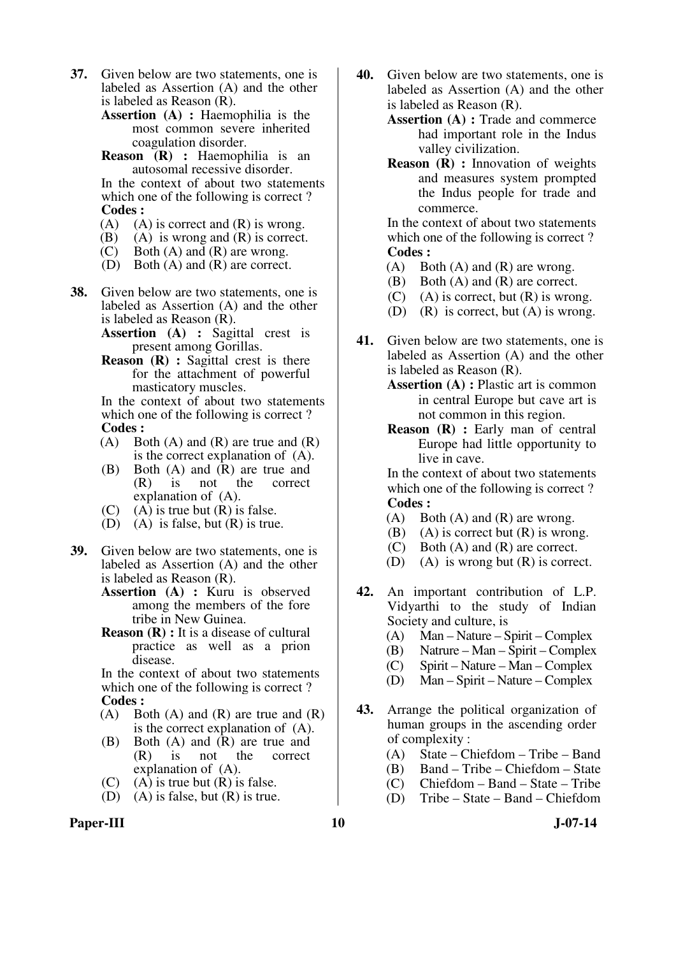- **37.** Given below are two statements, one is labeled as Assertion (A) and the other is labeled as Reason (R).
	- **Assertion (A) :** Haemophilia is the most common severe inherited coagulation disorder.
	- **Reason (R) :** Haemophilia is an autosomal recessive disorder.

 In the context of about two statements which one of the following is correct ? **Codes :** 

- (A) (A) is correct and (R) is wrong.<br>(B) (A) is wrong and (R) is correct.
- $(A)$  is wrong and  $(R)$  is correct.
- (C) Both (A) and (R) are wrong.<br>(D) Both (A) and (R) are correct.
- Both  $(A)$  and  $(R)$  are correct.
- **38.** Given below are two statements, one is labeled as Assertion (A) and the other is labeled as Reason (R).
	- **Assertion (A) :** Sagittal crest is present among Gorillas.
	- **Reason** (**R**) : Sagittal crest is there for the attachment of powerful masticatory muscles.

 In the context of about two statements which one of the following is correct ? **Codes :** 

- (A) Both (A) and (R) are true and  $(R)$ is the correct explanation of (A).
- (B) Both (A) and (R) are true and (R) is not the correct (R) is not the correct explanation of (A).
- (C) (A) is true but  $(R)$  is false.
- (D) (A) is false, but (R) is true.
- **39.** Given below are two statements, one is labeled as Assertion (A) and the other is labeled as Reason (R).
	- **Assertion (A) :** Kuru is observed among the members of the fore tribe in New Guinea.
	- **Reason (R) :** It is a disease of cultural practice as well as a prion disease.

 In the context of about two statements which one of the following is correct ?

- **Codes :**<br>**(A)** B<sub>(</sub> Both  $(A)$  and  $(R)$  are true and  $(R)$ is the correct explanation of (A).
- (B) Both (A) and (R) are true and  $(R)$  is not the correct (R) is not the correct explanation of (A).
- $(C)$  (A) is true but  $(R)$  is false.
- (D) (A) is false, but  $(R)$  is true.
- **40.** Given below are two statements, one is labeled as Assertion (A) and the other is labeled as Reason (R).
	- **Assertion (A) :** Trade and commerce had important role in the Indus valley civilization.
	- **Reason (R) :** Innovation of weights and measures system prompted the Indus people for trade and commerce.

 In the context of about two statements which one of the following is correct? **Codes :** 

- $(A)$  Both  $(A)$  and  $(R)$  are wrong.
- (B) Both (A) and (R) are correct.
- (C) (A) is correct, but  $(R)$  is wrong.
- (D) (R) is correct, but  $(A)$  is wrong.
- **41.** Given below are two statements, one is labeled as Assertion (A) and the other is labeled as Reason (R).
	- **Assertion (A) :** Plastic art is common in central Europe but cave art is not common in this region.
	- **Reason (R) :** Early man of central Europe had little opportunity to live in cave.

 In the context of about two statements which one of the following is correct ? **Codes :** 

- (A) Both (A) and  $(R)$  are wrong.
- (B) (A) is correct but  $(R)$  is wrong.
- (C) Both (A) and (R) are correct.
- (D) (A) is wrong but (R) is correct.
- **42.** An important contribution of L.P. Vidyarthi to the study of Indian Society and culture, is
	- (A) Man Nature Spirit Complex
	- (B) Natrure Man Spirit Complex
	- (C) Spirit Nature Man Complex
	- (D) Man Spirit Nature Complex
- **43.** Arrange the political organization of human groups in the ascending order of complexity :
	- (A) State Chiefdom Tribe Band
	- (B) Band Tribe Chiefdom State
	- (C) Chiefdom Band State Tribe
	- (D) Tribe State Band Chiefdom
- Paper-III **10** J-07-14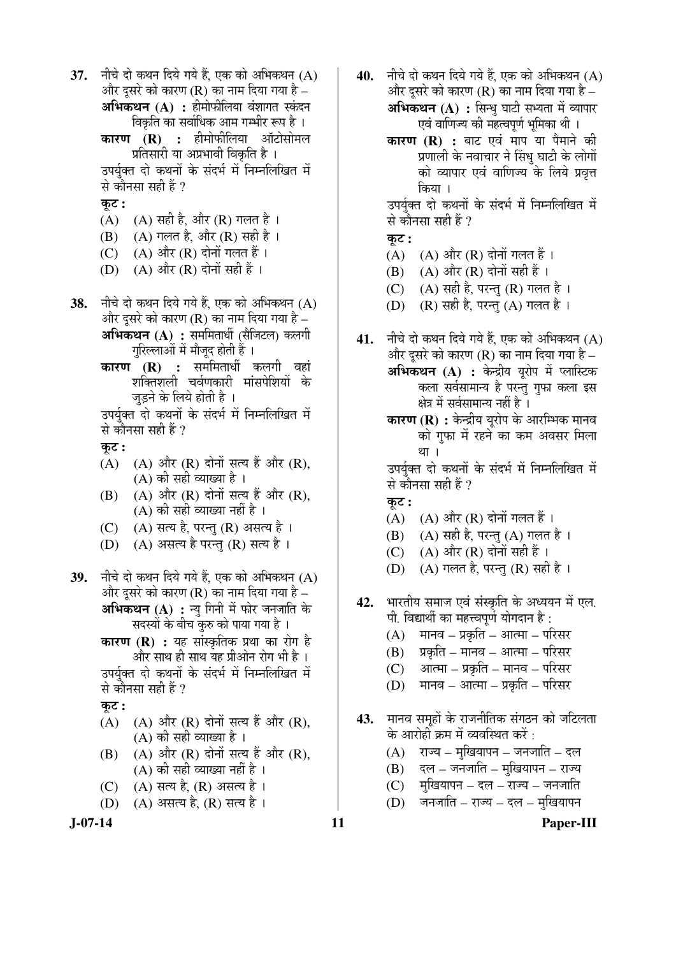**J-07-14 11 Paper-III 37.** नीचे दो कथन दिये गये हैं. एक को अभिकथन (A) और दुसरे को कारण ( $\bf R$ ) का नाम दिया गया है – **अभिकथन (A) :** हीमोफीलिया वंशागत स्कंदन विकृति का सर्वाधिक आम गम्भीर रूप है । **कारण (R) :** हीमोफीलिया ऑटोसोमल ्प्रतिसारी या अप्रभावी विकृति है । उपर्यक्त दो कथनों के संदर्भ में निम्नलिखित में से कौनसा सही हैं ?  $\overline{\phi}$ : (A)  $(A)$   $(A)$  सही है, और  $(R)$  गलत है।  $(B)$   $(A)$  गलत है, और  $(R)$  सही है । (C)  $(A)$  और  $(R)$  दोनों गलत हैं। (D)  $(A)$  और  $(R)$  दोनों सही हैं। **38.** नीचे दो कथन दिये गये हैं, एक को अभिकथन (A) और दुसरे को कारण ( $\bf R$ ) का नाम दिया गया है – **अभिकथन (A) :** सममितार्धी (सैजिटल) कलगी गुरिल्लाओं में मौजूद होती हैं । **कारण (R) :** सममितार्धी कलगी वहां शक्तिशली चर्वणकारी मांसपेशियों के जड़ने के लिये होती है । उपर्युक्त दो कथनों के संदर्भ में निम्नलिखित में से कौनसा सही हैं ? कुट : (A)  $(A)$  और  $(R)$  दोनों सत्य हैं और  $(R)$ ,  $(A)$  की सही व्याख्या है ।  $(B)$   $(A)$  और  $(R)$  दोनों सत्य हैं और  $(R)$ , (A) की सही व्याख्या नहीं है ।  $(C)$   $(A)$  सत्य है, परन्तु  $(R)$  असत्य है । (D) (A) असत्य है परन्तु (R) सत्य है। **39.** नीचे दो कथन दिये गये हैं. एक को अभिकथन (A) और दूसरे को कारण (R) का नाम दिया गया है – **अभिकथन (A) :** न्यू गिनी में फोर जनजाति के सदस्यों के बीच कुरु को पाया गया है । **कारण (R) :** यह सांस्कृतिक प्रथा का रोग है और साथ ही साथ यह प्रीओन रोग भी है । उपर्यक्त दो कथनों के संदर्भ में निम्नलिखित में से कौनसा सही हैं ? कट :  $(A)$   $(A)$  और  $(R)$  दोनों सत्य हैं और  $(R)$ , (A) की सही व्याख्या है ।  $(B)$   $(A)$  और  $(R)$  दोनों सत्य हैं और  $(R)$ ,  $(A)$  की सही व्याख्या नहीं है । (C) (A) सत्य है, (R) असत्य है । (D)  $(A)$  असत्य है,  $(R)$  सत्य है ।

- **40.** नीचे दो कथन दिये गये हैं. एक को अभिकथन (A) और दुसरे को कारण (R) का नाम दिया गया है – **अभिकथन (A) :** सिन्ध घाटी सभ्यता में व्यापार एवं वाणिज्य की महत्वपर्ण भमिका थी ।
	- **कारण (R) :** बाट एवं माप या पैमाने की प्रणाली के नवाचार ने सिंध घाटी के लोगों को व्यापार एवं वाणिज्य के लिये प्रवृत्त किया ।

उपर्युक्त दो कथनों के संदर्भ में निम्नलिखित में से कौनसा सही हैं ?

कट :

- $(A)$   $(A)$  और  $(R)$  दोनों गलत हैं।
- (B)  $(A)$  और  $(R)$  दोनों सही हैं ।
- $(C)$   $(A)$  सही है, परन्तु  $(R)$  गलत है ।
- (D)  $(R)$  सही है, परन्तु (A) गलत है।
- **41.** नीचे दो कथन दिये गये हैं, एक को अभिकथन (A) और दसरे को कारण (R) का नाम दिया गया है – अभिकथन (A) : केन्द्रीय युरोप में प्लास्टिक कला सर्वसामान्य है परन्तु गुफा कला इस क्षेत्र में सर्वसामान्य नहीं है ।
	- **कारण (R) :** केन्द्रीय यरोप के आरम्भिक मानव को गुफा में रहने का कम अवसर मिला था ।

उपर्यक्त दो कथनों के संदर्भ में निम्नलिखित में से कौनसा सही हैं ?

- $\overline{q}$ ः
- $(A)$   $(A)$  और  $(R)$  दोनों गलत हैं।
- (B)  $(A)$  सही है, परन्तु  $(A)$  गलत है ।
- (C)  $(A)$  और  $(R)$  दोनों सही हैं।
- (D)  $(A)$  गलत है, परन्तु (R) सही है ।
- 42. भारतीय समाज एवं संस्कृति के अध्ययन में एल. पी. विद्यार्थी का महत्त्वपूर्ण योगदान है:
	- $(A)$   $\overline{H}$ मानव प्रकृति आत्मा परिसर
	- $(B)$  प्रकृति मानव आत्मा परिसर
	- $(C)$  आत्मा प्रकृति मानव परिसर
	- $(D)$  ) मानव आत्मा प्रकृति परिसर
- 43. मानव समहों के राजनीतिक संगठन को जटिलता के आरोही क्रम में व्यवस्थित करें :
	- $(A)$  ) राज्य मुखियापन जनजाति दल
	- $(B)$  दल जनजाति मुखियापन राज्य
	- $(C)$  मखियापन दल राज्य जनजाति
	- $(D)$  जनजाति राज्य दल मुखियापन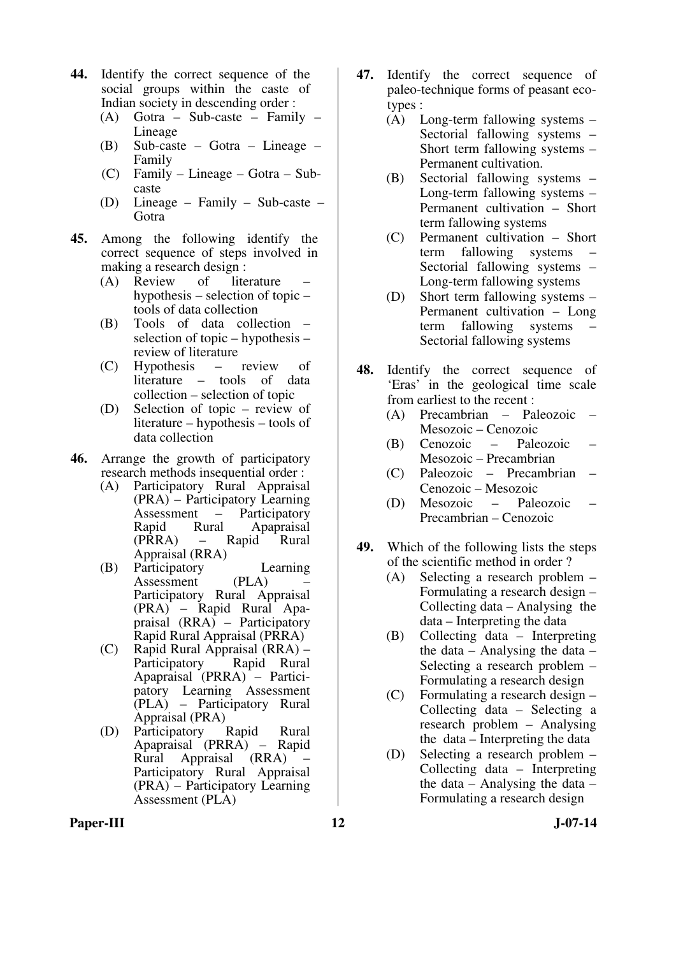- **44.** Identify the correct sequence of the social groups within the caste of Indian society in descending order :
	- (A) Gotra Sub-caste Family Lineage
	- (B) Sub-caste Gotra Lineage Family
	- (C) Family Lineage Gotra Subcaste
	- (D) Lineage Family Sub-caste Gotra
- **45.** Among the following identify the correct sequence of steps involved in making a research design :<br>(A) Review of lite
	- (A) Review of literature hypothesis – selection of topic – tools of data collection
- (B) Tools of data collection selection of topic – hypothesis – review of literature
	- (C) Hypothesis review of literature – tools of data collection – selection of topic
	- (D) Selection of topic review of literature – hypothesis – tools of data collection
- **46.** Arrange the growth of participatory research methods insequential order :
	- (A) Participatory Rural Appraisal (PRA) – Participatory Learning Assessment – Participatory Rapid Rural Apapraisal<br>(PRRA) – Rapid Rural (PRRA) – Rapid Rural Appraisal (RRA)
	- (B) Participatory Learning<br>Assessment (PLA) Assessment Participatory Rural Appraisal (PRA) – Rapid Rural Apapraisal (RRA) – Participatory Rapid Rural Appraisal (PRRA)
	- (C) Rapid Rural Appraisal (RRA) Participatory Rapid Rural Apapraisal (PRRA) – Participatory Learning Assessment (PLA) – Participatory Rural Appraisal (PRA)<br>Participatory Rapid
	- (D) Participatory Rapid Rural Apapraisal (PRRA) – Rapid Rural Appraisal (RRA) – Participatory Rural Appraisal (PRA) – Participatory Learning Assessment (PLA)
- **47.** Identify the correct sequence of paleo-technique forms of peasant ecotypes :
	- (A) Long-term fallowing systems Sectorial fallowing systems – Short term fallowing systems – Permanent cultivation.
	- (B) Sectorial fallowing systems Long-term fallowing systems – Permanent cultivation – Short term fallowing systems
	- (C) Permanent cultivation Short term fallowing systems Sectorial fallowing systems – Long-term fallowing systems
	- (D) Short term fallowing systems Permanent cultivation – Long term fallowing systems Sectorial fallowing systems
- **48.** Identify the correct sequence of 'Eras' in the geological time scale from earliest to the recent :
	- (A) Precambrian Paleozoic Mesozoic – Cenozoic
	- (B) Cenozoic Paleozoic Mesozoic – Precambrian
	- (C) Paleozoic Precambrian Cenozoic – Mesozoic
	- (D) Mesozoic Paleozoic Precambrian – Cenozoic
- **49.** Which of the following lists the steps of the scientific method in order ?
	- (A) Selecting a research problem Formulating a research design – Collecting data – Analysing the data – Interpreting the data
	- (B) Collecting data Interpreting the data – Analysing the data – Selecting a research problem – Formulating a research design
	- (C) Formulating a research design Collecting data – Selecting a research problem – Analysing the data – Interpreting the data
	- (D) Selecting a research problem Collecting data – Interpreting the data – Analysing the data – Formulating a research design

Paper-III **12** J-07-14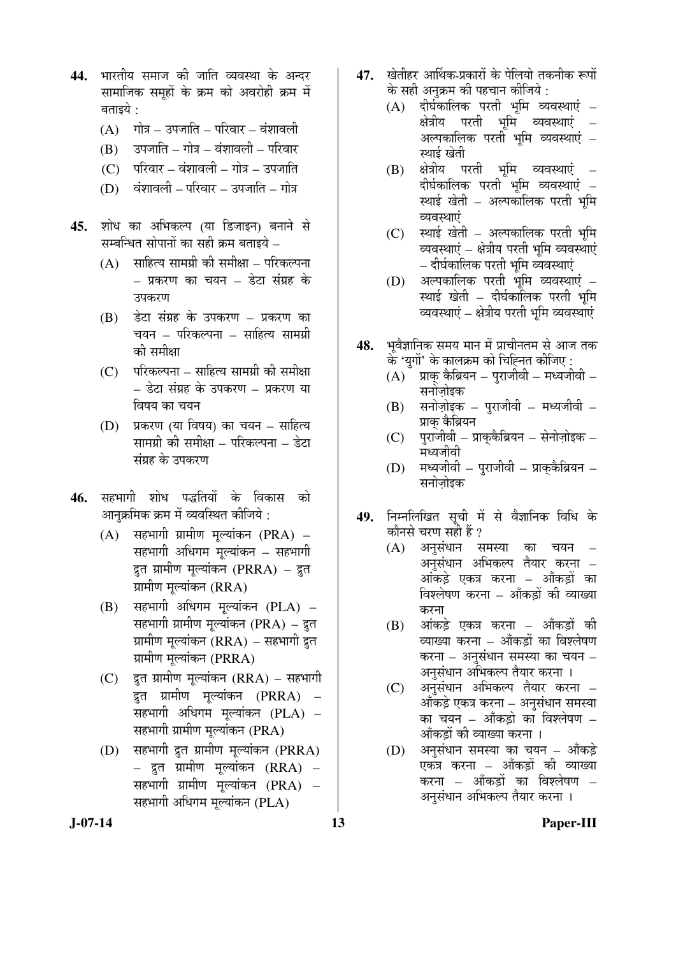- 44. भारतीय समाज की जाति व्यवस्था के अन्दर सामाजिक समहों के क्रम को अवरोही क्रम में बताइये :
	- $(A)$  ) गोत्र उपजाति परिवार वंशावली
	- $(B)$   $\bar{c}$ उपजाति गोत्र वंशावली परिवार
	- $(C)$  परिवार वंशावली गोत्र उपजाति
	- $(D)$  वंशावली परिवार उपजाति गोत्र
- 45. शोध का अभिकल्प (या डिजाइन) बनाने से सम्बन्धित सोपानों का सही क्रम बताइये –
	- $(A)$  साहित्य सामग्री की समीक्षा परिकल्पना – प्रकरण का चयन – डेटा संग्रह के उपकरण
	- $(B)$  डेटा संग्रह के उपकरण प्रकरण का चयन – परिकल्पना – साहित्य सामग्री को समीक्षा
	- $(C)$  परिकल्पना साहित्य सामग्री की समीक्षा – डेटा संग्रह के उपकरण – प्रकरण या विषय का चयन
	- $(D)$  प्रकरण (या विषय) का चयन साहित्य सामग्री की समीक्षा – परिकल्पना – डेटा संग्रह के उपकरण
- 46. सहभागी शोध पद्धतियों के विकास को आनुक्रमिक क्रम में व्यवस्थित कीजिये :
	- $(A)$  सहभागी ग्रामीण मूल्यांकन  $(\text{PRA})$  सहभागी अधिगम मूल्यांकन – सहभागी द्रत ग्रामीण मूल्यांकन (PRRA) – द्रत ग्रामीण मुल्यांकन (RRA)
	- $(B)$  सहभागी अधिगम मूल्यांकन  $(PLA)$  सहभागी ग्रामीण मूल्यांकन (PRA) – द्रुत ग्रामीण मुल्यांकन ( $\rm RRA$ ) – सहभागी द्रुत ग्रामीण मुल्यांकन (PRRA)
	- $(C)$  द्रत ग्रामीण मल्यांकन  $(RRA)$  सहभागी द्रुत ग्रामीण मूल्यांकन (PRRA) – सहभागी अधिगम मुल्यांकन (PLA) – सहभागी ग्रामीण मूल्यांकन (PRA)
	- (D) सहभागी द्रुत ग्रामीण मूल्यांकन (PRRA) – द्रत ग्रामीण मुल्यांकन (RRA) – सहभागी ग्रामीण मूल्यांकन (PRA) – सहभागी अधिगम मुल्यांकन (PLA)
- 47. TGHET आर्थिक-प्रकारों के पेलियो तकनीक रूपों के सही अनुक्रम की पहचान कीजिये :
	- $(A)$  दीर्घकालिक परती भूमि व्यवस्थाएं क्षेत्रीय परती भूमि व्यवस्थाएं – अल्पकालिक परती भूमि व्यवस्थाएं *–* स्थाई खेती
	- (B) क्षेत्रीय परती भूमि व्यवस्थाएं दीर्घकालिक परती भूमि व्यवस्थाएं *–* स्थाई खेती – अल्पकालिक परती भूमि व्यवस्थाएं
	- $(C)$  स्थाई खेती अल्पकालिक परती भूमि व्यवस्थाएं – क्षेत्रीय परती भूमि व्यवस्थाएं – दीर्घकालिक परती भूमि व्यवस्थाएं
	- $(D)$  अल्पकालिक परती भूमि व्यवस्थाएं स्थाई खेती – दीर्घकालिक परती भमि व्यवस्थाएं – क्षेत्रीय परती भूमि व्यवस्थाएं
- 48. भवैज्ञानिक समय मान में प्राचीनतम से आज तक के 'युगों' के कालक्रम को चिह्नित कीजिए :
	- $(A)$ ँ प्राक् कैब्रियन पुराजीवी मध्यजीवी सनोजोइक
	- $(B)$  सनोज़ोइक पुराजीवी मध्यजीवी प्राक कैब्रियन
	- $(C)$  पुराजीवी प्राकुकैब्रियन सेनोज़ोइक मध्यजीवी
	- $(D)$  मध्यजीवी पुराजीवी प्राककैब्रियन सनोजोडक
- 49. निम्नलिखित सूची में से वैज्ञानिक विधि के कौनसे चरण सही हैं ?
	- (A) अनुसंधान समस्या का चयन अनुसंधान अभिकल्प तैयार करना *–* आंकडे एकत्र करना – आँकडों का विश्लेषण करना – आँकड़ों की व्याख्या करना
		- $(B)$  अंकड़े एकत्र करना आँकड़ों की व्याख्या करना – आँकड़ों का विश्लेषण करना – अनुसंधान समस्या का चयन – अनुसंधान अभिकल्प तैयार करना ।
	- (C) अनुसंधान अभिकल्प तैयार करना आँकड़े एकत्र करना – अनुसंधान समस्या का चयन – आँकड़ो का विश्लेषण – आँकडों की व्याख्या करना ।
	- $(D)$  अनुसंधान समस्या का चयन ऑकड़े एकत्र करना – आँकड़ों की व्याख्या करना – आँकड़ों का विश्लेषण – अनसंधान अभिकल्प तैयार करना ।

**J-07-14 13 Paper-III**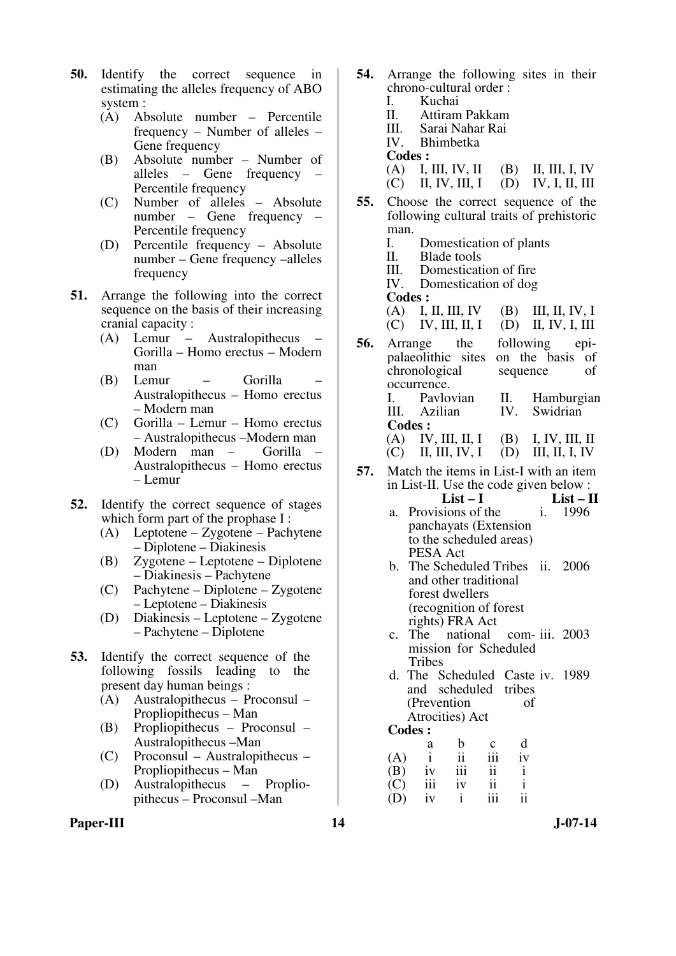- **50.** Identify the correct sequence in estimating the alleles frequency of ABO system :
	- (A) Absolute number Percentile frequency – Number of alleles – Gene frequency
	- (B) Absolute number Number of alleles – Gene frequency – Percentile frequency
	- (C) Number of alleles Absolute number – Gene frequency – Percentile frequency
	- (D) Percentile frequency Absolute number – Gene frequency –alleles frequency
- **51.** Arrange the following into the correct sequence on the basis of their increasing cranial capacity :
	- (A) Lemur Australopithecus Gorilla – Homo erectus – Modern man<br>Lemur
	- (B) Lemur Gorilla Australopithecus – Homo erectus – Modern man
	- (C) Gorilla Lemur Homo erectus – Australopithecus –Modern man
	- (D) Modern man Gorilla Australopithecus – Homo erectus – Lemur
- **52.** Identify the correct sequence of stages which form part of the prophase I :
	- (A) Leptotene Zygotene Pachytene – Diplotene – Diakinesis
	- (B) Zygotene Leptotene Diplotene – Diakinesis – Pachytene
	- (C) Pachytene Diplotene Zygotene – Leptotene – Diakinesis
	- (D) Diakinesis Leptotene Zygotene – Pachytene – Diplotene
- **53.** Identify the correct sequence of the following fossils leading to the present day human beings :
	- (A) Australopithecus Proconsul Propliopithecus – Man
	- (B) Propliopithecus Proconsul Australopithecus –Man
	- (C) Proconsul Australopithecus Propliopithecus – Man
	- (D) Australopithecus Propliopithecus – Proconsul –Man
- Paper-III **14** J-07-14
- **54.** Arrange the following sites in their chrono-cultural order :
	- I. Kuchai<br>II. Attiram II. Attiram Pakkam
	- III. Sarai Nahar Rai
	- Bhimbetka
	- **Codes :**<br>(A) **I**, **III**, **IV**, **II**

#### (A) I, III, IV, II (B) II, III, I, IV<br>(C) II, IV, III, I (D) IV, I, II, III  $(D)$  IV, I, II, III

- **55.** Choose the correct sequence of the following cultural traits of prehistoric man.<br>I.
	- I. Domestication of plants<br>II. Blade tools
	- II. Blade tools
	- III. Domestication of fire<br>IV. Domestication of dog
	- Domestication of dog
	- **Codes :**
	- (A) I, II, III, IV (B) III, II, IV, I  $(C)$  IV, III, II, I  $(D)$  II, IV, I, III
- **56.** Arrange the following epipalaeolithic sites on the basis of on the basis of chronological sequence of occurrence. I. Pavlovian II. Hamburgian III. Azilian IV. Swidrian **Codes :**  (A) IV, III, II, I (B) I, IV, III, II<br>(C) II, III, IV, I (D) III, II, I, IV (C) II, III, IV, I (D) III, II, I, IV
- **57.** Match the items in List-I with an item in List-II. Use the code given below :
	- **List I List II**  a. Provisions of the panchayats (Extension to the scheduled areas) PESA Act i. 1996
		- b. The Scheduled Tribes ii. 2006 and other traditional forest dwellers (recognition of forest rights) FRA Act
		- c. The national mission for Scheduled **Tribes** com- iii. 2003
		- d. The Scheduled Caste iv. 1989 and scheduled tribes (Prevention of Atrocities) Act

#### **Codes :**

|     | a            | b   | $\mathbf c$ | d  |
|-----|--------------|-----|-------------|----|
| (A) | $\mathbf{i}$ | ii  | 111         | iv |
| (B) | iv           | iii | ii          |    |
| (C) | 111          | iv  | ii          |    |
| (D) | iv           |     | 111         | ii |
|     |              |     |             |    |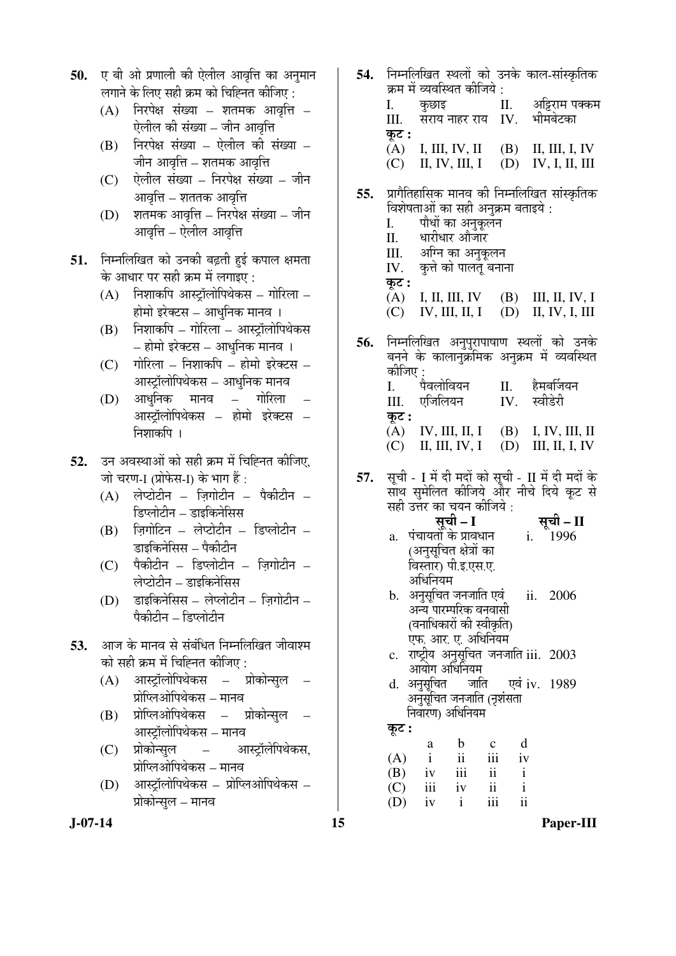- 50. **ए बी ओ प्रणाली की ऐलील आवृत्ति का अनु**मान लगाने के लिए सही क्रम को चिह्नित कीजिए :
	- $(A)$  निरपेक्ष संख्या शतमक आवृत्ति ऐलील की संख्या – जीन आवृत्ति
	- $(B)$  निरपेक्ष संख्या ऐलील की संख्या जीन आवृत्ति – शतमक आवृत्<mark>त</mark>ि
	- $(C)$  पेलील संख्या निरपेक्ष संख्या जीन आवृत्ति – शततक आवृत्ति
	- $(D)$  शतमक आवृत्ति निरपेक्ष संख्या जीन आवत्ति – ऐलील आवत्ति
- 51. निम्नलिखित को उनकी बढ़ती हई कपाल क्षमता के आधार पर सही क्रम में लगाइए $\,$ :
	- $(A)$  निशाकपि आस्ट्रॉलोपिथेकस गोरिला होमो इरेक्टस – आधुनिक मानव ।
	- $(B)$  निशाकपि गोरिला आस्ट्रॉलोपिथेकस – होमो इरेक्टस – आधुनिक मानव ।
	- $(C)$  गोरिला निशाकपि होमो इरेक्टस आस्ट्रॉलोपिथेकस – आधुनिक मानव
	- (D) आधनिक मानव गोरिला आस्टॉलोपिथेकस – होमो इरेक्टस – निशाकपि ।
- **52.** उन अवस्थाओं को सही क्रम में चिह्नित कीजिए, जो चरण-I (प्रोफेस-I) के भाग हैं :
	- $(A)$  लेप्टोटीन ज़िगोटीन पैकीटीन ङिप्लोटीन – डाइकिनेसिस
	- $(B)$  जिगोटिन लेप्टोटीन डिप्लोटीन डाइकिनेसिस – पैकीटीन
	- $(C)$  पैकीटीन डिप्लोटीन ज़िगोटीन लेप्टोटीन – डाइकिनेसिस
	- $(D)$  डाइकिनेसिस लेप्लोटीन ज़िगोटीन णैकीटीन – डिप्लोटीन
- **53.** आज के मानव से संबंधित निम्नलिखित जीवाश्म ेको सही क्रम में चिह्नित कीजिए :
	- (A) आस्ट्रॉलोपिथेकस प्रोकोन्सुल प्रोप्लिओपिथेकस – मानव
	- $(B)$  प्रोप्लिओपिथेकस प्रोकोन्सुल आस्ट्रॉलोपिथेकस – मानव
	- (C) प्रोकोन्सुल आस्ट्रॉलेपिथेकस, प्रोप्लिओपिथेकस – मानव
	- (D) आस्ट्रॉलोपिथेकस प्रोप्लिओपिथेकस प्रोकोन्सुल – मानव
- **54.** निम्नलिखित स्थलों को उनके काल-सांस्कृतिक ेक्रम में व्यवस्थित कीजिये :<br>I. कछाइ I. कुछाइ II. अट्टिराम पक्कम<br>III. सराय-नाहर राय IV. भीमबेटका  $\overline{u}$ सराय नाहर राय $\overline{v}$  IV. कूट **:**<br>(A) (A) I, III, IV, II (B) II, III, I, IV (C) II, IV, III, I (D) IV, I, II, III
- **55.** प्रागैतिहासिक मानव की निम्नलिखित सांस्कृतिक विशेषताओं का सही अनक्रम बताइये :
	- I. पौधों का अनुकूलन<br>II. धारीधार औजार
	- II. धारीधार औजार<br>III. अग्नि का अनक
	- III. अग्नि का अनुकूलन<br>IV. कत्ते को पालत बना
	- कृत्ते को पालत बनाना
	- कट : (A) I, II, III, IV (B) III, II, IV, I
	- (C) IV, III, II, I (D) II, IV, I, III
- **56.** निम्नलिखित अनपरापाषाण स्थलों को उनके बनने के कालानक्रमिक अनुक्रम में व्यवस्थित कीजिए :<br>L पैवलोवियन II. हैमबर्जियन<br>एजिलियन IV. स्वीडेरी  $III.$  एजिलियन  $IV.$ कू**ट :**<br> $\overline{A}$ )  $\mathbf{IV}, \mathbf{III}, \mathbf{II}, \mathbf{I}$  (B) I, IV, III, II (C) II, III, IV, I (D) III, II, I, IV
- 57. सूची I में दी मदों को सूची II में दी मदों के साथ समेलित कीजिये और नीचे दिये कूट से सही उत्तर का चयन कीजिये :

- सूची I a. पंचायतों के प्रावधान (अनुसूचित क्षेत्रों का विस्तार) पी.इ.एस.ए. अधिनियम i. 1996
- b. अनुसुचित जनजाति एवं अन्य पारम्परिक वनवासी (वनाधिकारों की स्वीकृति) एफ. आर. ए. अधिनियम ii. 2006
- c. राष्ट्रीय अनुसूचित जनजाति iii. 2003 आयोग अधिनियम<br>अनुसूचित जाति
- d. अनुसुचित अनुसुचित जनजाति (नृशंसता <u>निवारण)</u> अधिनियम एवं iv. 1989

कट :

 a b c d  $(A)$  i ii iii iv  $(B)$  iv iii ii i (C) iii iv ii i (D) iv i iii ii

**J-07-14 15 Paper-III**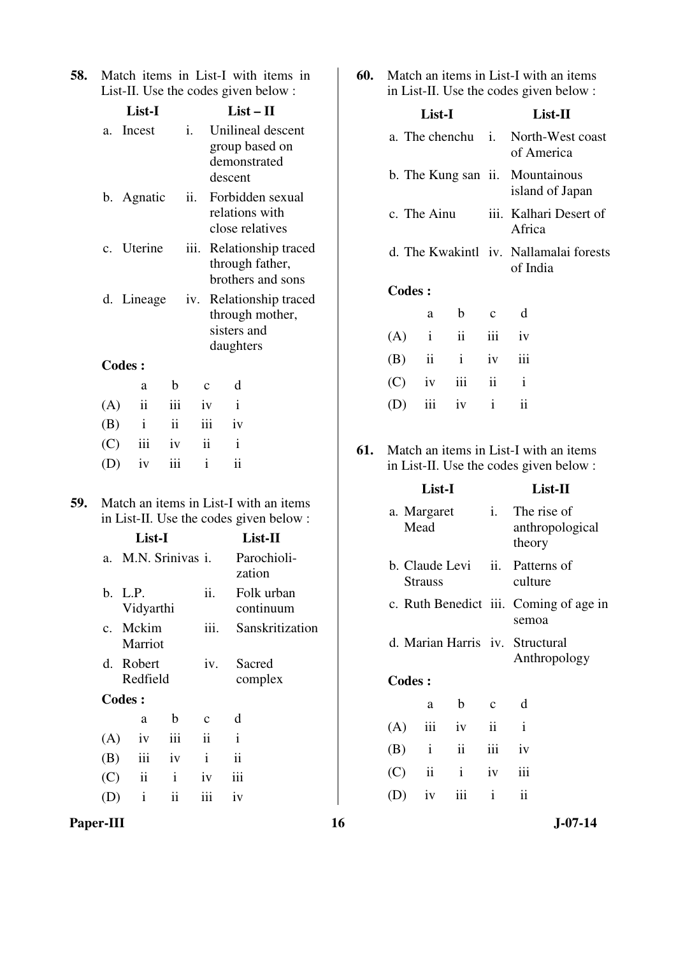| <b>58.</b> Match items in List-I with items in |  |  |  |
|------------------------------------------------|--|--|--|
| List-II. Use the codes given below:            |  |  |  |

| List-I |                |     |      | $List-II$           |                          |                                                             |  |
|--------|----------------|-----|------|---------------------|--------------------------|-------------------------------------------------------------|--|
| a.     | Incest         |     | i.   |                     | demonstrated<br>descent  | Unilineal descent<br>group based on                         |  |
|        | b. Agnatic     |     | ii.  |                     |                          | Forbidden sexual<br>relations with<br>close relatives       |  |
|        | c. Uterine     |     | iii. |                     |                          | Relationship traced<br>through father,<br>brothers and sons |  |
|        | d. Lineage     |     | iv.  |                     | sisters and<br>daughters | Relationship traced<br>through mother,                      |  |
|        | <b>Codes:</b>  |     |      |                     |                          |                                                             |  |
|        | a              | b   |      | $\mathbf{C}$        | d                        |                                                             |  |
| (A)    | $\ddot{\rm n}$ | iii |      | iv                  | $\mathbf{i}$             |                                                             |  |
| (B)    | $\mathbf{i}$   | ii  |      | iii                 | iv                       |                                                             |  |
| (C)    | iii            | iv  |      | $\ddot{\mathbf{i}}$ | $\mathbf{i}$             |                                                             |  |
| (D)    | iv             | iii |      | i                   | ii                       |                                                             |  |

**59.** Match an items in List-I with an items in List-II. Use the codes given below :

|         | List-I                   | $List-II$           |                 |                         |  |
|---------|--------------------------|---------------------|-----------------|-------------------------|--|
| $a_{-}$ | M.N. Srinivas i.         |                     |                 | Parochioli-<br>zation   |  |
|         | b. L.P.<br>Vidyarthi     |                     | ii.             | Folk urban<br>continuum |  |
|         | c. Mckim<br>Marriot      |                     | iii.            | Sanskritization         |  |
|         | d. Robert<br>Redfield    |                     | iv.             | Sacred<br>complex       |  |
|         | Codes :                  |                     |                 |                         |  |
|         | a                        | b                   | C               | d                       |  |
| (A)     | iv                       | iii                 | $\ddot{\rm ii}$ | $\mathbf{i}$            |  |
| (B)     | iii                      | iv                  | $\mathbf{i}$    | $\ddot{\mathbf{i}}$     |  |
| (C)     | $\overline{\mathbf{ii}}$ | $\mathbf{i}$        | iv              | iii                     |  |
|         | $\mathbf{i}$             | $\ddot{\mathbf{i}}$ | iii             | iv                      |  |
|         |                          |                     |                 |                         |  |

**60.** Match an items in List-I with an items in List-II. Use the codes given below :

| List-I                          |              |                     |              | List-II                                            |
|---------------------------------|--------------|---------------------|--------------|----------------------------------------------------|
|                                 |              |                     |              | a. The chenchu i. North-West coast<br>of America   |
| b. The Kung san ii. Mountainous |              |                     |              | island of Japan                                    |
| c. The Ainu                     |              |                     |              | iii. Kalhari Desert of<br>Africa                   |
|                                 |              |                     |              | d. The Kwakintl iv. Nallamalai forests<br>of India |
| <b>Codes:</b>                   |              |                     |              |                                                    |
|                                 | a            | b                   | $\mathbf{c}$ | d                                                  |
| (A)                             | $\mathbf{i}$ | $\ddot{\mathbf{i}}$ | iii          | iv                                                 |
| (B)                             | ii           | $\mathbf{i}$        | iv           | iii                                                |
| (C)                             | iv           | iii                 | ii           | $\mathbf{i}$                                       |
| (D)                             | iii          | iv                  | $\mathbf{i}$ | ii                                                 |
|                                 |              |                     |              |                                                    |

**61.** Match an items in List-I with an items in List-II. Use the codes given below :

|     | List-I                        |               | List-II      |                                                 |
|-----|-------------------------------|---------------|--------------|-------------------------------------------------|
|     | a. Margaret<br>Mead           |               | i.           | The rise of<br>anthropological<br>theory        |
|     | b. Claude Levi ii.<br>Strauss |               |              | Patterns of<br>culture                          |
|     |                               |               |              | c. Ruth Benedict iii. Coming of age in<br>semoa |
|     |                               |               |              | d. Marian Harris iv. Structural<br>Anthropology |
|     | <b>Codes:</b>                 |               |              |                                                 |
|     | a                             | b             | $\mathbf{C}$ | d                                               |
| (A) | iii                           | iv            | ii           | $\mathbf{i}$                                    |
| (B) | $\mathbf{i}$                  | $\mathbf{ii}$ | iii          | iv                                              |
| (C) | ii                            | $\mathbf{i}$  | iv           | iii                                             |
| (D) | iv                            | iii           | $\mathbf{i}$ | ii                                              |

**Paper-III 16** J-07-14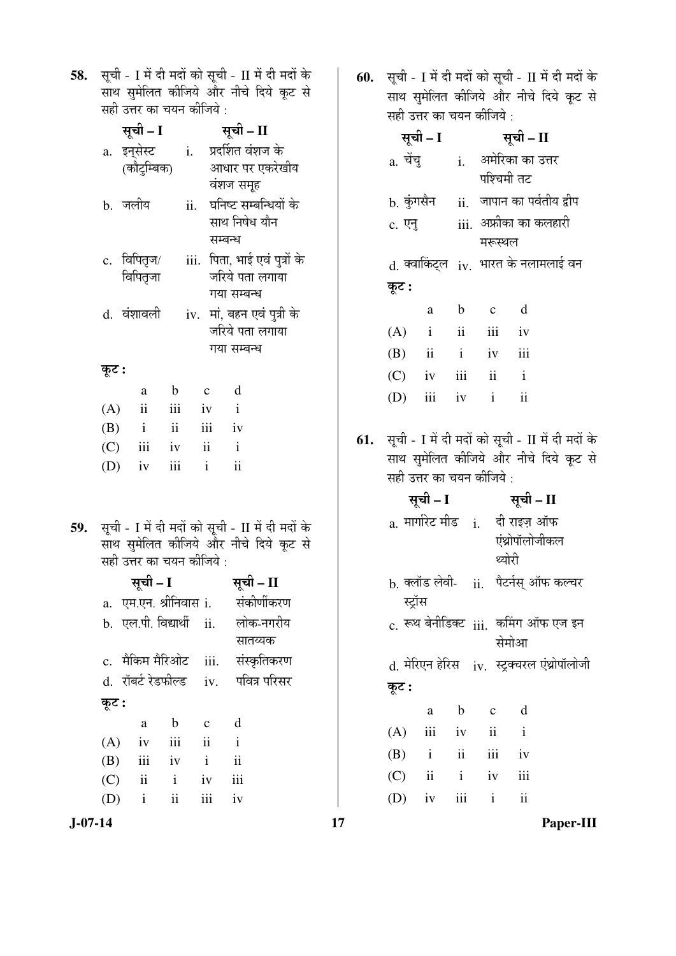58. सूची - I में दी मदों को सूची - II में दी मदों के साथ सुमेलित कीजिये और नीचे दिये कूट से ्<br>सही उत्तर का चयन कीजिये :

|       | सूची – I                                                      |              |              |                 | सूची – II                                     |  |
|-------|---------------------------------------------------------------|--------------|--------------|-----------------|-----------------------------------------------|--|
|       | a. इन् <b>सेस्ट     i.   प्रदर्शित वंशज</b> के<br>(कौटुम्बिक) |              |              |                 | आधार पर एकरेखीय                               |  |
|       |                                                               |              |              | वंशज समूह       |                                               |  |
|       | b. जलीय                                                       |              | ii.          | साथ निषेध यौन   | घनिष्ट सम्बन्धियों के                         |  |
|       |                                                               |              |              | सम्बन्ध         |                                               |  |
|       | c. विपितृज/                                                   |              |              |                 | iii. पिता, भाई एवं पुत्रों के                 |  |
|       | विपितृजा                                                      |              |              |                 | जरिये पता लगाया                               |  |
|       |                                                               |              |              | गया सम्बन्ध     |                                               |  |
|       | d. वंशावली                                                    |              |              |                 | iv. मां, बहन एवं पुत्री के<br>जरिये पता लगाया |  |
|       |                                                               |              |              | गया सम्बन्ध     |                                               |  |
| कूट : |                                                               |              |              |                 |                                               |  |
|       | a                                                             | $\mathbf{b}$ | $\mathbf{c}$ | d               |                                               |  |
| (A)   | $\ddot{\mathbf{i}}$                                           |              | iii iv       | $\mathbf{i}$    |                                               |  |
|       | $(B)$ i ii                                                    |              |              | iii iv          |                                               |  |
|       | $(C)$ iii iv ii i                                             |              |              |                 |                                               |  |
|       | (D)<br>iv                                                     | iii          | $\mathbf{i}$ | $\ddot{\rm ii}$ |                                               |  |
|       |                                                               |              |              |                 |                                               |  |
|       |                                                               |              |              |                 |                                               |  |
|       |                                                               |              |              |                 |                                               |  |

59. सूची - I में दी मदों को सूची - II में दी मदों के ँसाथ सुमेलित कीजिये और नीचे दिये कूट से सही उत्तर का चयन कीजिये :

|       | सूची – I            |              |                     | सूची – II                               |
|-------|---------------------|--------------|---------------------|-----------------------------------------|
|       |                     |              |                     | a. एम.एन. श्रीनिवास i.     संकीर्णीकरण  |
|       |                     |              |                     | b. एल.पी. विद्यार्थी ii. लोक-नगरीय      |
|       |                     |              |                     | सातय्यक                                 |
|       |                     |              |                     | c.  मैकिम मैरिओट    iii.    संस्कृतिकरण |
|       |                     |              |                     | d. रॉबर्ट रेडफील्ड   iv.   पवित्र परिसर |
| कूट : |                     |              |                     |                                         |
|       | a                   | b            | $\mathbf{c}$        | d                                       |
| (A)   | iv                  | iii          | $\ddot{\mathbf{i}}$ | $\mathbf{i}$                            |
| (B)   | iii                 | iv           | $\mathbf{i}$        | $\ddot{\mathbf{i}}$                     |
| (C)   | $\ddot{\mathbf{i}}$ | $\mathbf{i}$ | iv                  | iii                                     |
|       |                     |              |                     |                                         |

(D) i ii iii iv

**60.** सूची - I में दी मदों को सूची - II में दी मदों के साथ सुमेलित कीजिये और नीचे दिये कूट से  $\vec{a}$ द्यो $\vec{b}$  उत्तर को चयन कोजिये $\vec{b}$  :

| त्तरा ७०९ पर्म पत्रमा पर्माणपा , |  |                      |           |  |             |                                                                                                                                                |                                                                                              |                                                                                                                                                                                                                                |
|----------------------------------|--|----------------------|-----------|--|-------------|------------------------------------------------------------------------------------------------------------------------------------------------|----------------------------------------------------------------------------------------------|--------------------------------------------------------------------------------------------------------------------------------------------------------------------------------------------------------------------------------|
|                                  |  |                      | सूची – II |  |             |                                                                                                                                                |                                                                                              |                                                                                                                                                                                                                                |
|                                  |  |                      |           |  |             |                                                                                                                                                |                                                                                              |                                                                                                                                                                                                                                |
|                                  |  |                      |           |  |             |                                                                                                                                                |                                                                                              |                                                                                                                                                                                                                                |
|                                  |  |                      |           |  |             |                                                                                                                                                |                                                                                              |                                                                                                                                                                                                                                |
|                                  |  |                      |           |  |             |                                                                                                                                                |                                                                                              |                                                                                                                                                                                                                                |
|                                  |  |                      |           |  |             |                                                                                                                                                |                                                                                              |                                                                                                                                                                                                                                |
|                                  |  |                      |           |  |             |                                                                                                                                                |                                                                                              |                                                                                                                                                                                                                                |
| कूट :                            |  |                      |           |  |             |                                                                                                                                                |                                                                                              |                                                                                                                                                                                                                                |
|                                  |  |                      |           |  | $\mathbf d$ |                                                                                                                                                |                                                                                              |                                                                                                                                                                                                                                |
|                                  |  |                      |           |  |             |                                                                                                                                                |                                                                                              |                                                                                                                                                                                                                                |
|                                  |  |                      |           |  |             |                                                                                                                                                |                                                                                              |                                                                                                                                                                                                                                |
|                                  |  |                      |           |  |             |                                                                                                                                                |                                                                                              |                                                                                                                                                                                                                                |
|                                  |  |                      |           |  |             |                                                                                                                                                |                                                                                              |                                                                                                                                                                                                                                |
|                                  |  |                      |           |  |             |                                                                                                                                                |                                                                                              |                                                                                                                                                                                                                                |
|                                  |  |                      |           |  |             |                                                                                                                                                |                                                                                              |                                                                                                                                                                                                                                |
|                                  |  |                      |           |  |             |                                                                                                                                                |                                                                                              |                                                                                                                                                                                                                                |
|                                  |  |                      |           |  |             |                                                                                                                                                |                                                                                              |                                                                                                                                                                                                                                |
|                                  |  |                      |           |  |             |                                                                                                                                                |                                                                                              |                                                                                                                                                                                                                                |
|                                  |  |                      |           |  |             |                                                                                                                                                |                                                                                              |                                                                                                                                                                                                                                |
|                                  |  |                      |           |  |             |                                                                                                                                                |                                                                                              |                                                                                                                                                                                                                                |
|                                  |  |                      |           |  |             |                                                                                                                                                |                                                                                              |                                                                                                                                                                                                                                |
|                                  |  |                      |           |  |             |                                                                                                                                                |                                                                                              |                                                                                                                                                                                                                                |
| 61.                              |  | सूची – I<br>सूची – I | a. चेंचू  |  | a b c       | पश्चिमी तट<br>मरूस्थल<br>$(A)$ i ii iii iv<br>$(B)$ ii iv iii<br>$(C)$ iv iii ii i<br>$(D)$ iii iv i ii<br>सही उत्तर का चयन कीजिये :<br>थ्योरी | i. अमेरिका का उत्तर<br>सूची – II<br>a. मार्गारेट मीड    i.     दी राइज़ ऑफ<br>एंथ्रोपॉलोजीकल | b. कुंगसैन     ii.   जापान का पर्वतीय द्वीप<br>d. क्वाकिंट्ल iv. भारत के नलामलाई वन<br>सूची - I में दी मदों को सूची - II में दी मदों के<br>साथ सुमेलित कीजिये और नीचे दिये कूट से<br>b. क्लॉड लेवी-    ii.   पैटर्नस् ऑफ कल्चर |

स्ट्रॉस  $c.$  रूथ बेनीडिक्ट  $ii$ i. कमिंग ऑफ एज इन सेमोआ

 $d.$  मेरिएन हेरिस $i$  iv. स्ट्रक्चरल एंथ्रोपॉलोजी कूट :

|  | a b c d           |  |
|--|-------------------|--|
|  | $(A)$ iii iv ii i |  |
|  | $(B)$ i ii iii iv |  |
|  | $(C)$ ii i iv iii |  |
|  | $(D)$ iv iii i ii |  |

**J-07-14 17 Paper-III**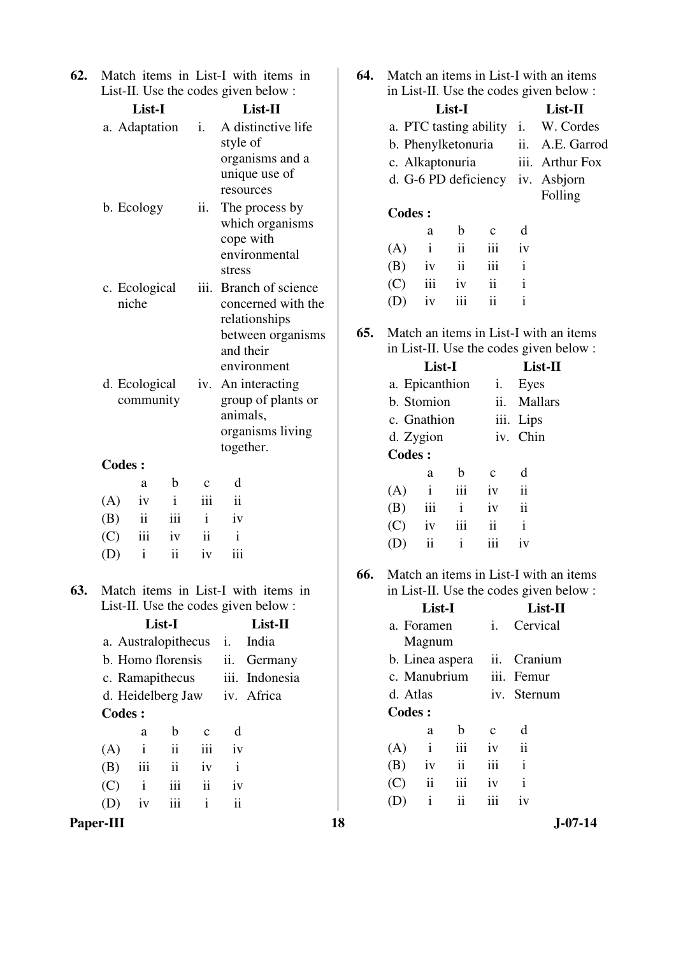**62.** Match items in List-I with items in List-II. Use the codes given below :

|               | List-I                     |               |                     | List-II                                                                                                        |
|---------------|----------------------------|---------------|---------------------|----------------------------------------------------------------------------------------------------------------|
|               | a. Adaptation              |               | i.                  | A distinctive life<br>style of<br>organisms and a<br>unique use of<br>resources                                |
|               | b. Ecology                 |               | ii.                 | The process by<br>which organisms<br>cope with<br>environmental<br>stress                                      |
|               | c. Ecological<br>niche     |               |                     | iii. Branch of science<br>concerned with the<br>relationships<br>between organisms<br>and their<br>environment |
|               | d. Ecological<br>community |               |                     | iv. An interacting<br>group of plants or<br>animals,<br>organisms living<br>together.                          |
| <b>Codes:</b> |                            |               |                     |                                                                                                                |
|               | a                          | b             | $\mathbf c$         | d                                                                                                              |
| (A)           | iv                         | $\mathbf{i}$  | iii                 | ii                                                                                                             |
| (B)           | $\mathbf{ii}$              | iii           | $\mathbf{i}$        | iv                                                                                                             |
| (C)           | iii                        | iv            | $\ddot{\mathbf{i}}$ | $\mathbf{i}$                                                                                                   |
| (D)           | $\mathbf{i}$               | $\mathbf{ii}$ | iv                  | iii                                                                                                            |

**63.** Match items in List-I with items in List-II. Use the codes given below :

|        | List-I |                     | List-II |                   |                |
|--------|--------|---------------------|---------|-------------------|----------------|
|        |        | a. Australopithecus |         | İ.                | India          |
|        |        | b. Homo florensis   |         | $\overline{11}$ . | Germany        |
|        |        | c. Ramapithecus     |         |                   | iii. Indonesia |
|        |        | d. Heidelberg Jaw   |         |                   | iv. Africa     |
| Codes: |        |                     |         |                   |                |
|        | a      | b                   | C       | d                 |                |
| (A)    | i      | ii                  | iii     | iv                |                |
| (B)    | iii    | $\ddot{\mathbf{i}}$ | iv      | i                 |                |
| (C)    | i      | iii                 | ii      | iv                |                |
|        | 1V     | 111                 | i       | ii                |                |
|        |        |                     |         |                   |                |

Paper-III 18 J-07-14

**64.** Match an items in List-I with an items in List-II. Use the codes given below :

| List-I                 |    | $List-II$       |
|------------------------|----|-----------------|
| a. PTC tasting ability | i. | W. Cordes       |
| b. Phenylketonuria     |    | ii. A.E. Garrod |
| c. Alkaptonuria        |    | iii. Arthur Fox |
| d. G-6 PD deficiency   |    | iv. Asbjorn     |
|                        |    | Folling         |
| Codes:                 |    |                 |

| a | $b \quad c$       | d |
|---|-------------------|---|
|   | $(A)$ i ii iii iv |   |
|   | $(B)$ iv ii iii i |   |
|   | $(C)$ iii iv ii i |   |
|   | $(D)$ iv iii ii   |   |

**65.** Match an items in List-I with an items in List-II. Use the codes given below :

|               | List-II        |     |             |                     |
|---------------|----------------|-----|-------------|---------------------|
|               | a. Epicanthion |     | i.          | Eyes                |
|               | b. Stomion     |     | ii.         | <b>Mallars</b>      |
|               | c. Gnathion    |     |             | iii. Lips           |
|               | d. Zygion      |     |             | iv. Chin            |
| <b>Codes:</b> |                |     |             |                     |
|               | a              | h   | $\mathbf c$ | d                   |
| (A)           | i              | iii | iv          | $\ddot{\mathbf{i}}$ |
| (B)           | iii            | i   | iv          | ii                  |
| (C)           | iv             | iii | ij          | i                   |
|               | ii             | i   | 111         | 1V                  |

**66.** Match an items in List-I with an items in List-II. Use the codes given below :

|     |          | List-I          |                     |               | $List-II$    |
|-----|----------|-----------------|---------------------|---------------|--------------|
|     |          | a. Foramen      |                     | i.            | Cervical     |
|     |          | Magnum          |                     |               |              |
|     |          | b. Linea aspera |                     | 11.           | Cranium      |
|     |          | c. Manubrium    |                     |               | iii. Femur   |
|     | d. Atlas |                 |                     |               | iv. Sternum  |
|     | Codes:   |                 |                     |               |              |
|     |          | a               | h                   | $\mathcal{C}$ | d            |
| (A) |          | $\mathbf{i}$    | iii                 | iv            | ii           |
| (B) |          | iv              | $\ddot{\mathbf{i}}$ | iii           | $\mathbf{i}$ |
| (C) |          | ii              | iii                 | iv            | $\mathbf{i}$ |
|     |          | i               | ii                  |               | iv           |
|     |          |                 |                     |               |              |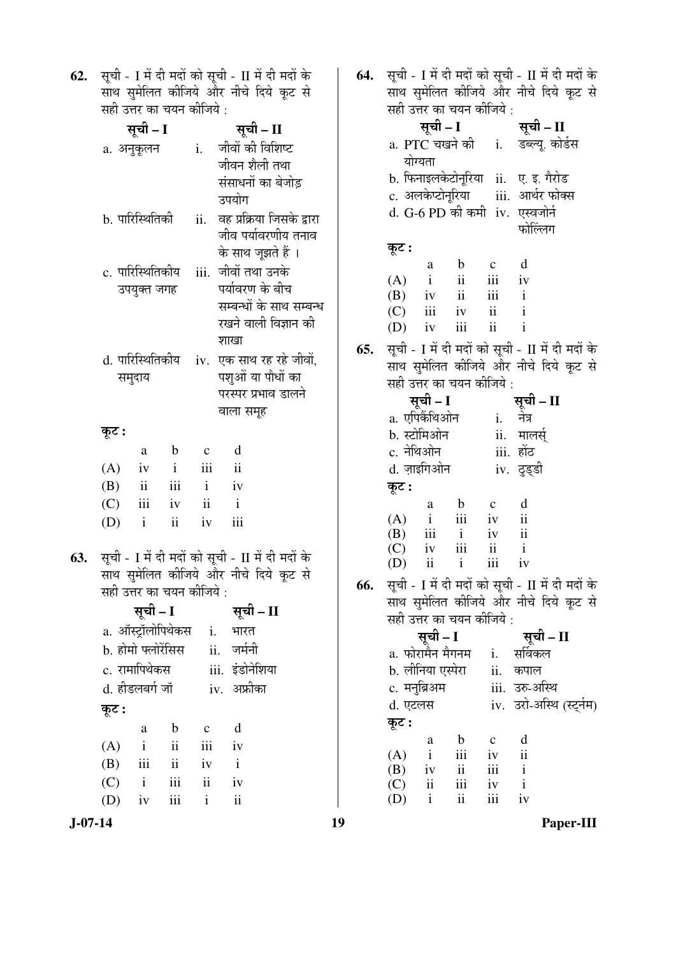**62.** सूची - I में दी मदों को सूची - II में दी मदों के साथ सुमेलित कीजिये और नीचे दिये कूट से ्<br>सही उत्तर का चयन कीजिये :

|     | सूची – I                  |                               |                             |                     | सूची – II                                            |  |  |  |
|-----|---------------------------|-------------------------------|-----------------------------|---------------------|------------------------------------------------------|--|--|--|
|     | a. अनुकूलन                |                               |                             | i.                  | जीवों की विशिष्ट                                     |  |  |  |
|     |                           |                               |                             |                     | जीवन शैली तथा                                        |  |  |  |
|     |                           |                               |                             |                     | संसाधनों का बेजोड़                                   |  |  |  |
|     |                           |                               |                             |                     | उपयोग                                                |  |  |  |
|     | b. पारिस्थितिकी           |                               |                             |                     | ii. वह प्रक्रिया जिसके द्वारा<br>जीव पर्यावरणीय तनाव |  |  |  |
|     |                           |                               |                             |                     | के साथ जूझते हैं ।                                   |  |  |  |
|     |                           |                               | c. पारिस्थितिकीय            | iii.                | जीवों तथा उनके                                       |  |  |  |
|     |                           | उपयुक्त जगह                   |                             |                     | पर्यावरण के बीच                                      |  |  |  |
|     |                           |                               |                             |                     | सम्बन्धों के साथ सम्बन्ध                             |  |  |  |
|     |                           |                               |                             |                     | रखने वाली विज्ञान की                                 |  |  |  |
|     |                           |                               |                             |                     | शाखा                                                 |  |  |  |
|     |                           |                               | d. पारिस्थितिकीय            |                     | iv. एक साथ रह रहे जीवों,                             |  |  |  |
|     |                           | समुदाय                        |                             |                     | पशुओं या पौधों का                                    |  |  |  |
|     |                           |                               |                             |                     | परस्पर प्रभाव डालने                                  |  |  |  |
|     |                           |                               |                             |                     | वाला समूह                                            |  |  |  |
|     | कूट :                     |                               |                             |                     |                                                      |  |  |  |
|     |                           | a                             | $\mathbf b$<br>$\mathbf{i}$ | $\mathbf{c}$<br>iii | d<br>$\ddot{\rm n}$                                  |  |  |  |
|     | (A)<br>(B)                | iv<br>$\overline{\mathbf{u}}$ | iii i                       |                     | $-iv$                                                |  |  |  |
|     | (C)                       | iii                           | iv                          | $\ddot{\mathbf{i}}$ | $\mathbf{i}$                                         |  |  |  |
|     | (D)                       | $\mathbf{i}$                  | ii                          | iv                  | iii                                                  |  |  |  |
|     |                           |                               |                             |                     |                                                      |  |  |  |
| 63. |                           |                               |                             |                     | सूची - I में दी मदों को सूची - II में दी मदों के     |  |  |  |
|     |                           |                               |                             |                     | साथ सुमेलित कीजिये और नीचे दिये कूट से               |  |  |  |
|     | सही उत्तर का चयन कीजिये : |                               |                             |                     |                                                      |  |  |  |
|     |                           | सूची – I                      |                             |                     | सूची – II                                            |  |  |  |
|     |                           |                               | a. ऑस्ट्रॉलोपिथेकस          | i.                  | भारत                                                 |  |  |  |
|     | b. होमो फ्लोरेंसिस        |                               |                             |                     | जर्मनी<br>ii.                                        |  |  |  |
|     | c. रामापिथेकस             |                               |                             |                     | iii. इंडोनेशिया                                      |  |  |  |
|     | d. हीडलबर्ग जॉ            |                               |                             |                     | iv. अफ्रीका                                          |  |  |  |
|     | कूट :                     |                               |                             |                     |                                                      |  |  |  |
|     |                           | a                             | $\mathbf b$                 | $\mathbf C$         | d                                                    |  |  |  |
|     | (A)                       | $\mathbf{i}$                  | $\mathbf{ii}$               | iii                 | iv                                                   |  |  |  |
|     | (B)                       | iii                           | ii                          | iv                  | $\mathbf{i}$                                         |  |  |  |
|     | (C)                       | $\mathbf{i}$                  | iii                         | ii                  | iv                                                   |  |  |  |

**64.** सूची - I में दी मदों को सूची - II में दी मदों के साथ सुमेलित कीजिये और नीचे दिये कूट से सही उत्तर का चयन कीजिये :

|     | सहा उत्तर का चयन का।जय : |                   |                                    |                     |                                                  |                                   |  |  |  |
|-----|--------------------------|-------------------|------------------------------------|---------------------|--------------------------------------------------|-----------------------------------|--|--|--|
|     |                          | सूची - I          |                                    |                     | सूची – II                                        |                                   |  |  |  |
|     |                          |                   |                                    |                     |                                                  | a. PTC चखने की i. डब्ल्यू. कोर्डस |  |  |  |
|     |                          | योग्यता           |                                    |                     |                                                  |                                   |  |  |  |
|     |                          |                   |                                    |                     | b. फिनाइलकेटोनूरिया ii. ए. इ. गैरो़ड             |                                   |  |  |  |
|     |                          |                   |                                    |                     | c. अलकेप्टोनूरिया     iii.  आर्थर फोक्स          |                                   |  |  |  |
|     |                          |                   |                                    |                     | d. G-6 PD की कमी iv. एस्वजोर्न                   |                                   |  |  |  |
|     |                          |                   |                                    |                     | फोल्लिंग                                         |                                   |  |  |  |
|     |                          |                   |                                    |                     |                                                  |                                   |  |  |  |
|     | कूट :                    |                   |                                    |                     | d                                                |                                   |  |  |  |
|     | (A)                      | a<br>$\mathbf{i}$ | $\mathbf b$<br>$\ddot{\mathbf{i}}$ | $\mathbf{c}$<br>iii | iv                                               |                                   |  |  |  |
|     | $(B)$ iv                 |                   | ii                                 | iii                 | $\mathbf{i}$                                     |                                   |  |  |  |
|     |                          | $(C)$ iii iv      |                                    | ii                  | $\mathbf{i}$                                     |                                   |  |  |  |
|     | $(D)$ iv                 |                   | iii                                | $\mathbf{ii}$       | $\mathbf{i}$                                     |                                   |  |  |  |
|     |                          |                   |                                    |                     |                                                  |                                   |  |  |  |
| 65. |                          |                   |                                    |                     | सूची - I में दी मदों को सूची - II में दी मदों के |                                   |  |  |  |
|     |                          |                   |                                    |                     | साथ सुमेलित कीजिये और नीचे दिये कूट से           |                                   |  |  |  |
|     |                          |                   | सही उत्तर का चयन कीजिये:           |                     |                                                  |                                   |  |  |  |
|     |                          | सूची – I          |                                    |                     | सूची – II<br>i.    नेत्र                         |                                   |  |  |  |
|     |                          | a. एपिकैंथिओन     |                                    |                     |                                                  |                                   |  |  |  |
|     |                          | b. स्टोमिओन       |                                    |                     | ii. मालर्स्                                      |                                   |  |  |  |
|     |                          | c. नेथिओन         |                                    |                     | iii. होंठ                                        |                                   |  |  |  |
|     |                          | d. ज़ाइगिओन       |                                    |                     | iv. दुड्डी                                       |                                   |  |  |  |
|     | कूट :                    |                   |                                    |                     |                                                  |                                   |  |  |  |
|     |                          | a                 | $\mathbf b$                        | $\mathbf{c}$        | d                                                |                                   |  |  |  |
|     |                          |                   | $(A)$ i iii iv                     |                     | $\overline{\mathbf{u}}$                          |                                   |  |  |  |
|     |                          | $(B)$ iii i       |                                    | iv                  | $\overline{\mathbf{ii}}$                         |                                   |  |  |  |
|     |                          |                   | $(C)$ iv iii ii                    |                     | $\mathbf{i}$                                     |                                   |  |  |  |
|     | $(D)$ ii                 |                   | $\mathbf{i}$                       | iii                 | iv                                               |                                   |  |  |  |
| 66. |                          |                   |                                    |                     | सूची - I में दी मदों को सूची - II में दी मदों के |                                   |  |  |  |
|     |                          |                   |                                    |                     | साथ सुमेलित कीजिये और नीचे दिये कूट से           |                                   |  |  |  |
|     |                          |                   | सही उत्तर का चयन कीजिये:           |                     |                                                  |                                   |  |  |  |
|     |                          | सूची – I          |                                    |                     | सूची - II                                        |                                   |  |  |  |
|     |                          |                   |                                    |                     | a. फोरामैन मैगनम    i.    सर्विकल                |                                   |  |  |  |
|     |                          |                   |                                    |                     | b. लीनिया एस्पेरा      ii.   कपाल                |                                   |  |  |  |
|     |                          | c. मनुब्रिअम      |                                    |                     | iii. उरु-अस्थि                                   |                                   |  |  |  |
|     |                          |                   |                                    |                     |                                                  |                                   |  |  |  |

(D) iv iii i ii

d. एटलस iv. उरो-अस्थि (स्ट्नीम)

कूट :

 a b c d (A) i iii iv ii (B) iv ii iii i (C) ii iii iv i (D) i ii iii iv

**J-07-14 19 Paper-III**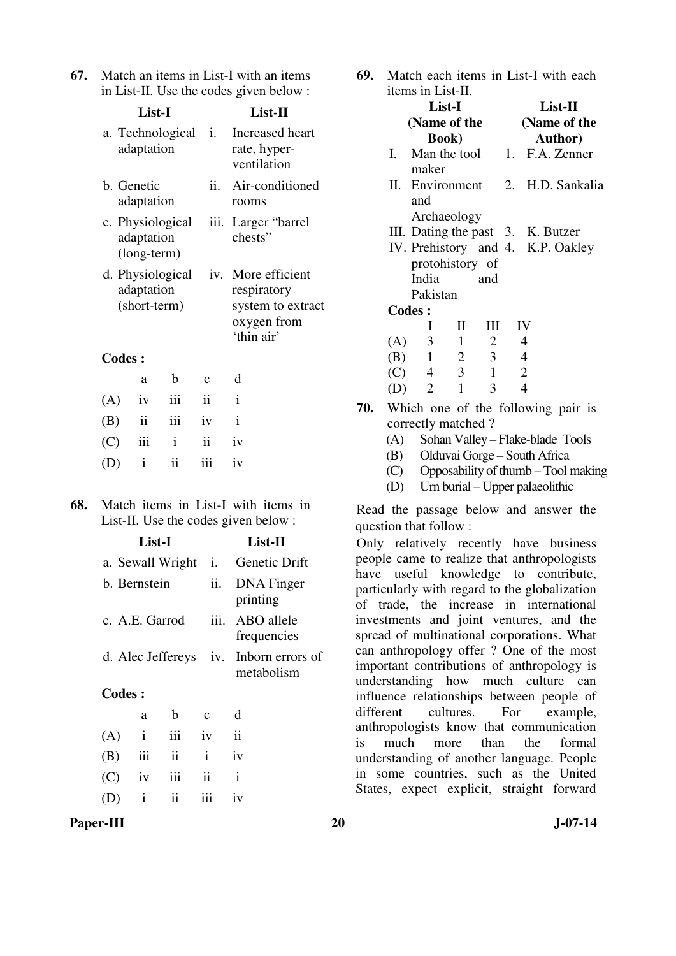| 67. Match an items in List-I with an items |
|--------------------------------------------|
| in List-II. Use the codes given below :    |

|               | List-I                     |                  | List-II                                              |                                                                                 |  |
|---------------|----------------------------|------------------|------------------------------------------------------|---------------------------------------------------------------------------------|--|
|               | adaptation                 | a. Technological | Increased heart<br>i.<br>rate, hyper-<br>ventilation |                                                                                 |  |
|               | b. Genetic<br>adaptation   |                  | Air-conditioned<br>rooms                             |                                                                                 |  |
|               | adaptation<br>(long-term)  | c. Physiological | Larger "barrel<br>iii.<br>chests"                    |                                                                                 |  |
|               | adaptation<br>(short-term) | d. Physiological | iv.                                                  | More efficient<br>respiratory<br>system to extract<br>oxygen from<br>'thin air' |  |
| <b>Codes:</b> |                            |                  |                                                      |                                                                                 |  |
|               | a                          | b                | $\mathbf c$                                          | d                                                                               |  |
| (A)           | iv                         | iii              | ii                                                   | $\mathbf{i}$                                                                    |  |
| (B)           | $\ddot{\rm n}$             | iii              | iv                                                   | $\mathbf{i}$                                                                    |  |
| (C)           | iii                        | $\mathbf{i}$     | $\ddot{\mathbf{i}}$                                  | iv                                                                              |  |
| (D)           | $\mathbf{i}$               | ii               | iii                                                  | iv                                                                              |  |
|               |                            |                  |                                                      |                                                                                 |  |

**68.** Match items in List-I with items in List-II. Use the codes given below :

|           | List-I                 |                     |                                    | List-II                                                                                                                          | Only relatively recently have business                                                 |
|-----------|------------------------|---------------------|------------------------------------|----------------------------------------------------------------------------------------------------------------------------------|----------------------------------------------------------------------------------------|
|           | a. Sewall Wright<br>i. |                     | Genetic Drift                      | people came to realize that anthropologists                                                                                      |                                                                                        |
|           | ii.<br>b. Bernstein    |                     | DNA Finger<br>printing             | have useful knowledge to contribute,<br>particularly with regard to the globalization<br>of trade, the increase in international |                                                                                        |
|           | c. A.E. Garrod         |                     |                                    | iii. ABO allele<br>frequencies                                                                                                   | investments and joint ventures, and the<br>spread of multinational corporations. What  |
|           | d. Alec Jeffereys      |                     | iv. Inborn errors of<br>metabolism | can anthropology offer? One of the most<br>important contributions of anthropology is<br>understanding how much culture can      |                                                                                        |
|           | <b>Codes:</b>          |                     |                                    | influence relationships between people of                                                                                        |                                                                                        |
|           | a                      | b.                  | $\mathbf{C}$                       | d                                                                                                                                | cultures.<br>For<br>different<br>example,                                              |
| (A)       | $\mathbf{i}$           | iii                 | iv                                 | ii                                                                                                                               | anthropologists know that communication<br>is<br>much<br>than<br>the<br>formal<br>more |
| (B)       | iii                    | $\mathbf{ii}$       | $\mathbf{i}$                       | iv                                                                                                                               | understanding of another language. People                                              |
| (C)       | 1V                     | 111                 | $\ddot{\mathbf{i}}$                | $\mathbf{i}$                                                                                                                     | in some countries, such as the United                                                  |
| (D)       | $\mathbf{1}$           | $\ddot{\mathbf{i}}$ | iii                                | iv                                                                                                                               | States, expect explicit, straight forward                                              |
| Paper-III |                        |                     |                                    |                                                                                                                                  | 20<br>$J-07-14$                                                                        |

**69.** Match each items in List-I with each

|           |      | items in List-II.     |                |                |                  |                                               |  |
|-----------|------|-----------------------|----------------|----------------|------------------|-----------------------------------------------|--|
|           |      |                       |                |                |                  |                                               |  |
|           |      | List-I                |                | $List-II$      |                  |                                               |  |
|           |      | (Name of the          |                |                |                  | (Name of the                                  |  |
|           |      | <b>Book</b> )         |                |                |                  | Author)                                       |  |
|           | Ι.   | Man the tool          |                |                |                  | 1. F.A. Zenner                                |  |
|           |      | maker                 |                |                |                  |                                               |  |
|           | П.   | Environment           |                |                |                  | 2. H.D. Sankalia                              |  |
|           |      | and                   |                |                |                  |                                               |  |
|           |      | Archaeology           |                |                |                  |                                               |  |
|           |      |                       |                |                |                  | III. Dating the past 3. K. Butzer             |  |
|           |      |                       |                |                |                  | IV. Prehistory and 4. K.P. Oakley             |  |
|           |      | protohistory of       |                |                |                  |                                               |  |
|           |      | India                 |                | and            |                  |                                               |  |
|           |      | Pakistan              |                |                |                  |                                               |  |
|           |      | <b>Codes:</b>         |                |                |                  |                                               |  |
|           |      | Ι                     | $\mathbf{I}$   | III            | IV               |                                               |  |
|           | (A)  | $\mathfrak{Z}$        | $\mathbf{1}$   | $\overline{2}$ | 4                |                                               |  |
|           | (B)  | $\mathbf{1}$          | $\overline{2}$ | 3              | $\overline{4}$   |                                               |  |
|           | (C)  | $\overline{4}$        | 3              | $\mathbf{1}$   | $\boldsymbol{2}$ |                                               |  |
|           |      | (D) 2                 | $\mathbf{1}$   | 3              | $\overline{4}$   |                                               |  |
| 70.       |      |                       |                |                |                  | Which one of the following pair is            |  |
|           |      | correctly matched?    |                |                |                  |                                               |  |
|           | (A)  |                       |                |                |                  | Sohan Valley - Flake-blade Tools              |  |
|           | (B)  |                       |                |                |                  | Olduvai Gorge - South Africa                  |  |
|           | (C)  |                       |                |                |                  | Opposability of thumb - Tool making           |  |
|           | (D)  |                       |                |                |                  | Urn burial - Upper palaeolithic               |  |
|           |      |                       |                |                |                  |                                               |  |
|           |      |                       |                |                |                  | Read the passage below and answer the         |  |
|           |      | question that follow: |                |                |                  |                                               |  |
|           |      |                       |                |                |                  | Only relatively recently have business        |  |
|           |      |                       |                |                |                  | people came to realize that anthropologists   |  |
|           |      |                       |                |                |                  | have useful knowledge to contribute,          |  |
|           |      |                       |                |                |                  | particularly with regard to the globalization |  |
|           |      |                       |                |                |                  | of trade, the increase in international       |  |
|           |      |                       |                |                |                  | investments and joint ventures, and the       |  |
|           |      |                       |                |                |                  | spread of multinational corporations. What    |  |
|           |      |                       |                |                |                  | can anthropology offer ? One of the most      |  |
|           |      |                       |                |                |                  | important contributions of anthropology is    |  |
|           |      |                       |                |                |                  | understanding how much culture can            |  |
|           |      |                       |                |                |                  | influence relationships between people of     |  |
| different |      |                       | cultures.      |                | For              | example,                                      |  |
|           |      |                       |                |                |                  | anthropologists know that communication       |  |
| is        | much |                       | more           | than           | the              | formal                                        |  |
|           |      |                       |                |                |                  | understanding of another language. People     |  |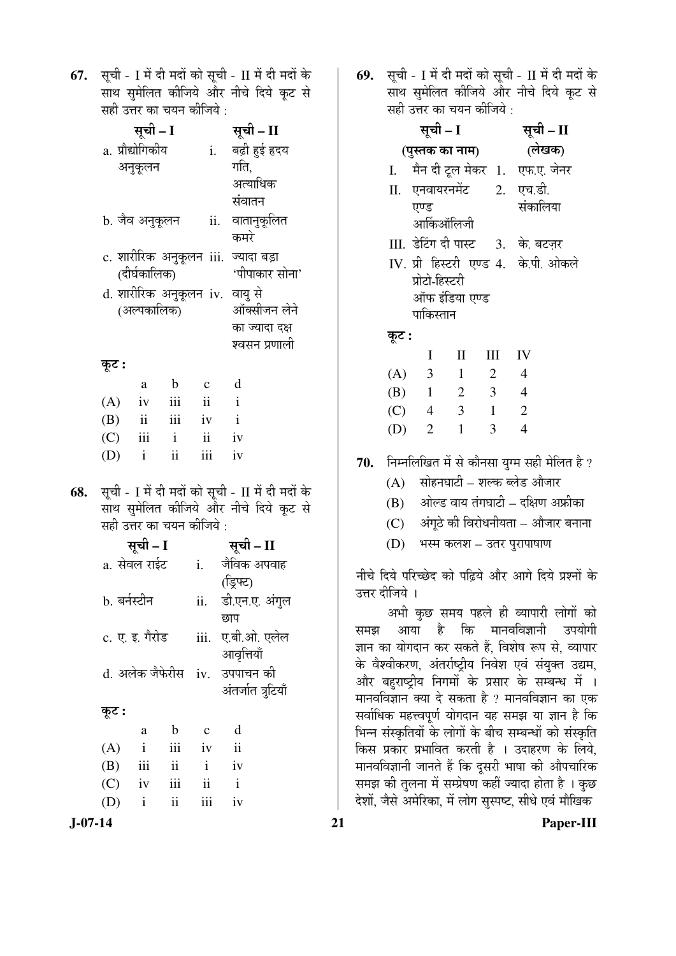**67.** सूची - I में दी मदों को सूची - II में दी मदों के साथ सुमेलित कीजिये और नीचे दिये कूट से सही उत्तर का चयन कीजिये :

|                  | सूची – I     |                |                     | सूची – II                           |
|------------------|--------------|----------------|---------------------|-------------------------------------|
| a. प्रौद्योगिकीय |              |                | i.                  | बढ़ी हुई हृदय                       |
|                  | अनुकूलन      |                |                     | गति,                                |
|                  |              |                |                     | अत्याधिक                            |
|                  |              |                |                     | संवातन                              |
| b. जैव अनुकूलन   |              |                |                     | ii. वातानुकूलित                     |
|                  |              |                |                     | कमरे                                |
|                  |              |                |                     | c. शारीरिक अनुकूलन iii. ज्यादा बड़ा |
|                  | (दीर्घकालिक) |                |                     | 'पीपाकार सोना'                      |
|                  |              |                |                     | d. शारीरिक अनुकूलन iv. वायु से      |
|                  | (अल्पकालिक)  |                |                     | ऑक्सीजन लेने                        |
|                  |              |                |                     | का ज्यादा दक्ष                      |
|                  |              |                |                     | श्वसन प्रणाली                       |
| कूट :            |              |                |                     |                                     |
|                  | a            | $\mathbf b$    | $\mathbf{c}$        | d                                   |
| (A)              | iv           | iii ii         |                     | $\mathbf{i}$                        |
| $(B)$ ii         |              | iii iv         | $\mathbf{i}$        |                                     |
| $(C)$ iii i      |              |                | $\ddot{\mathbf{i}}$ | iv                                  |
| (D)              | $\mathbf{i}$ | $\ddot{\rm n}$ | iii                 | iv                                  |
|                  |              |                |                     |                                     |

68. सूची - I में दी मदों को सूची - II में दी मदों के साथ सुमेलित कीजिये और नीचे दिये कूट से सही उत्तर का चयन कीजिये :

| सूची - I            | सूची – II      |                     |  |  |
|---------------------|----------------|---------------------|--|--|
| a. सेवल राईट        | $\mathbf{i}$ . | जैविक अपवाह         |  |  |
|                     |                | (ड्रिफ्ट)           |  |  |
| b. बर्नस्टीन        |                | ii. डी.एन.ए. अंगुल  |  |  |
|                     |                | छाप                 |  |  |
| c. ए. इ. गैरोड      |                | iii.   ए.बी.ओ. एलेल |  |  |
|                     |                | आवृत्तियाँ          |  |  |
| d. अलेक जैफेरीस     |                | iv. उपपाचन की       |  |  |
|                     |                | अंतर्जात त्रुटियाँ  |  |  |
| कूट :               |                |                     |  |  |
| b<br>a              | C              | d                   |  |  |
| $\mathbf{i}$<br>(A) | iv             | ij                  |  |  |

- $(B)$  iii ii i iv  $(C)$  iv iii ii i (D) i ii iii iv
- 

69. सूची - I में दी मदों को सूची - II में दी मदों के साथ सुमेलित कीजिये और नीचे दिये कूट से  $\vec{a}$ द्यौँ उन्हें का चयन कीजिये $\vec{b}$  :

| $\frac{1}{2}$ and $\frac{1}{2}$ and $\frac{1}{2}$ and $\frac{1}{2}$ and $\frac{1}{2}$ |                            |                |                |                                         |                                                         |  |  |
|---------------------------------------------------------------------------------------|----------------------------|----------------|----------------|-----------------------------------------|---------------------------------------------------------|--|--|
|                                                                                       | सूची – I                   | सूची – II      |                |                                         |                                                         |  |  |
|                                                                                       | (पुस्तक का नाम)            | (लेखक)         |                |                                         |                                                         |  |  |
|                                                                                       |                            |                |                | I. मैन दी टूल मेकर 1. एफ.ए. जेनर        |                                                         |  |  |
|                                                                                       |                            |                |                | II. एनवायरनमेंट 2. एच.डी.               |                                                         |  |  |
|                                                                                       | एण्ड                       |                |                | संकालिया                                |                                                         |  |  |
|                                                                                       | आर्किऑलिजी                 |                |                |                                         |                                                         |  |  |
|                                                                                       |                            |                |                | III. डेटिंग दी पास्ट     3.   के. बटज़र |                                                         |  |  |
|                                                                                       |                            |                |                | IV. प्री हिस्टरी एण्ड 4. के.पी. ओकले    |                                                         |  |  |
|                                                                                       | प्रोटो-हिस्टरी             |                |                |                                         |                                                         |  |  |
|                                                                                       | ऑफ इंडिया एण्ड             |                |                |                                         |                                                         |  |  |
|                                                                                       | पाकिस्तान                  |                |                |                                         |                                                         |  |  |
| कूट :                                                                                 |                            |                |                |                                         |                                                         |  |  |
|                                                                                       | $\mathbf I$                | $\mathbf{I}$   | Ш              | IV                                      |                                                         |  |  |
|                                                                                       | (A) 3                      | $\overline{1}$ | 2              | $\overline{4}$                          |                                                         |  |  |
|                                                                                       | $(B)$ 1 2 3 4              |                |                |                                         |                                                         |  |  |
|                                                                                       | $(C)$ 4 3 1                |                |                | $\overline{\phantom{a}}$                |                                                         |  |  |
|                                                                                       | $(D)$ 2                    | $\overline{1}$ | $\overline{3}$ | $\overline{4}$                          |                                                         |  |  |
|                                                                                       |                            |                |                |                                         | <b>70.</b> निम्नलिखित में से कौनसा युग्म सही मेलित है ? |  |  |
| (A)                                                                                   | सोहनघाटी – शल्क ब्लेड औजार |                |                |                                         |                                                         |  |  |
|                                                                                       |                            |                |                | (B) आेल्ड वाय तंगघाटी – दक्षिण अफ्रीका  |                                                         |  |  |
| (C)                                                                                   |                            |                |                |                                         | अंगूठे की विरोधनीयता – औजार बनाना                       |  |  |
| (D)                                                                                   |                            |                |                | भस्म कलश – उतर पुरापाषाण                |                                                         |  |  |

नीचे दिये परिच्छेद को पढ़िये और आगे दिये प्रश्नों के उत्तर दीजिये ।

अभी कुछ समय पहले ही व्यापारी लोगों को समझ आया है कि मानवविज्ञानी उपयोगी ज्ञान का योगदान कर सकते हैं, विशेष रूप से, व्यापार के वैश्वीकरण, अंतर्राष्ट्रीय निवेश एवं संयुक्त उद्यम, और बहुराष्ट्रीय निगमो<sup>ं</sup> के प्रसार के सम्बन्ध में । <sup>ॅ</sup>मानवविज्ञान क्या दे सकता है ? मानवविज्ञान का एक सर्वाधिक महत्त्वपूर्ण योगदान यह समझ या ज्ञान है कि भिन्न संस्कृतियों के लोगों के बीच सम्बन्धों को संस्कृति किस प्रकार प्रभावित करती है । उदाहरण के लिये, मानवविज्ञानी जानते हैं कि दुसरी भाषा की औपचारिक समझ की तुलना में सम्प्रेषण कहीं ज्यादा होता है । कुछ देशों, जैसे अमेरिका, में लोग सस्पष्ट, सीधे एवं मौखिक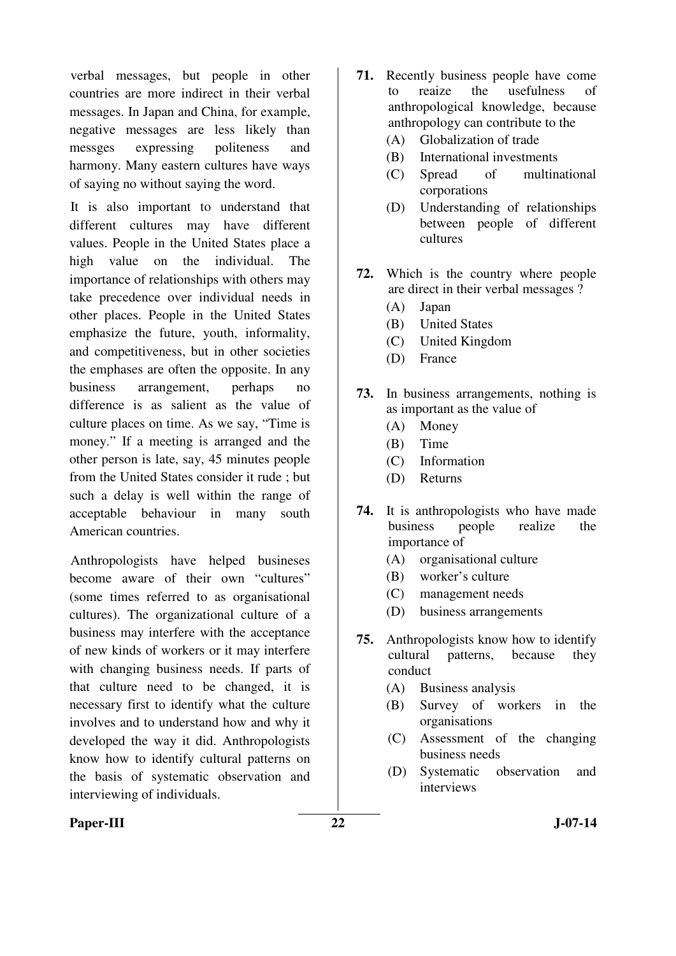verbal messages, but people in other countries are more indirect in their verbal messages. In Japan and China, for example, negative messages are less likely than messges expressing politeness and harmony. Many eastern cultures have ways of saying no without saying the word.

It is also important to understand that different cultures may have different values. People in the United States place a high value on the individual. The importance of relationships with others may take precedence over individual needs in other places. People in the United States emphasize the future, youth, informality, and competitiveness, but in other societies the emphases are often the opposite. In any business arrangement, perhaps no difference is as salient as the value of culture places on time. As we say, "Time is money." If a meeting is arranged and the other person is late, say, 45 minutes people from the United States consider it rude ; but such a delay is well within the range of acceptable behaviour in many south American countries.

Anthropologists have helped busineses become aware of their own "cultures" (some times referred to as organisational cultures). The organizational culture of a business may interfere with the acceptance of new kinds of workers or it may interfere with changing business needs. If parts of that culture need to be changed, it is necessary first to identify what the culture involves and to understand how and why it developed the way it did. Anthropologists know how to identify cultural patterns on the basis of systematic observation and interviewing of individuals.

- **71.** Recently business people have come to reaize the usefulness of anthropological knowledge, because anthropology can contribute to the
	- (A) Globalization of trade
	- (B) International investments
	- (C) Spread of multinational corporations
	- (D) Understanding of relationships between people of different cultures
- **72.** Which is the country where people are direct in their verbal messages ?
	- (A) Japan
	- (B) United States
	- (C) United Kingdom
	- (D) France
- **73.** In business arrangements, nothing is as important as the value of
	- (A) Money
	- (B) Time
	- (C) Information
	- (D) Returns
- **74.** It is anthropologists who have made business people realize the importance of
	- (A) organisational culture
	- (B) worker's culture
	- (C) management needs
	- (D) business arrangements
- **75.** Anthropologists know how to identify cultural patterns, because they conduct
	- (A) Business analysis
	- (B) Survey of workers in the organisations
	- (C) Assessment of the changing business needs
	- (D) Systematic observation and interviews

#### Paper-III 322 J-07-14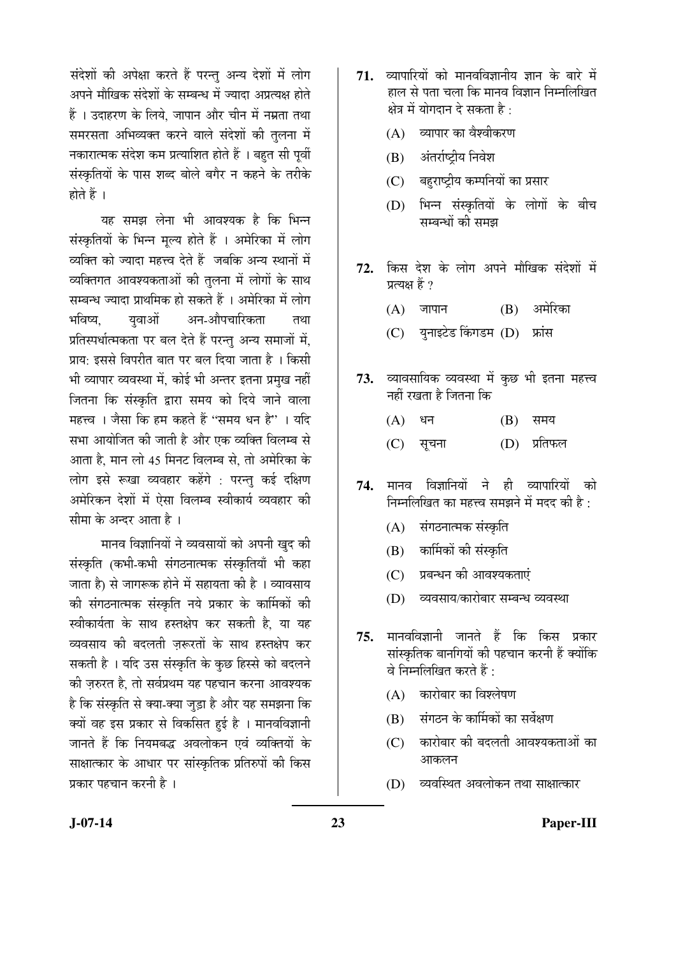संदेशों की अपेक्षा करते हैं परन्तु अन्य देशों में लोग अपने मौखिक संदेशों के सम्बन्ध में ज्यादा अप्रत्यक्ष होते हैं । उदाहरण के लिये. जापान और चीन में नम्रता तथा समरसता अभिव्यक्त करने वाले संदेशों की तुलना में नकारात्मक संदेश कम प्रत्याशित होते हैं । बहुत सी पूर्वी संस्कृतियों के पास शब्द बोले बगैर न कहने के तरीके होते हैं ।

यह समझ लेना भी आवश्यक है कि भिन्न संस्कृतियों के भिन्न मूल्य होते हैं । अमेरिका में लोग व्यक्ति को ज्यादा महत्त्व देते हैं जबकि अन्य स्थानों में व्यक्तिगत आवश्यकताओं की तुलना में लोगों के साथ सम्बन्ध ज्यादा प्राथमिक हो सकते हैं । अमेरिका में लोग भविष्य. यवाओं अन-औपचारिकता तथा प्रतिस्पर्धात्मकता पर बल देते हैं परन्तु अन्य समाजों में, प्राय: इससे विपरीत बात पर बल दिया जाता है । किसी भी व्यापार व्यवस्था में, कोई भी अन्तर इतना प्रमुख नहीं जितना कि संस्कृति द्वारा समय को दिये जाने वाला महत्त्व । जैसा कि हम कहते हैं "समय धन है" । यदि सभा आयोजित की जाती है और एक व्यक्ति विलम्ब से आता है. मान लो 45 मिनट विलम्ब से. तो अमेरिका के लोग इसे रूखा व्यवहार कहेंगे : परन्तु कई दक्षिण अमेरिकन देशों में ऐसा विलम्ब स्वीकार्य व्यवहार की सीमा के अन्दर आता है $\perp$ 

मानव विज्ञानियों ने व्यवसायों को अपनी खुद की संस्कृति (कभी-कभी संगठनात्मक संस्कृतियाँ भी कहा जाता है) से जागरूक होने में सहायता की है । व्यावसाय की संगठनात्मक संस्कृति नये प्रकार के कार्मिकों की स्वीकार्यता के साथ हस्तक्षेप कर सकती है. या यह व्यवसाय की बदलती जरूरतों के साथ हस्तक्षेप कर सकती है । यदि उस संस्कृति के कुछ हिस्से को बदलने की ज़रुरत है. तो सर्वप्रथम यह पहचान करना आवश्यक है कि संस्कृति से क्या-क्या जुड़ा है और यह समझना कि क्यों वह इस प्रकार से विकसित हुई है । मानवविज्ञानी जानते हैं कि नियमबद्ध अवलोकन एवं व्यक्तियों के साक्षात्कार के आधार पर सांस्कृतिक प्रतिरुपों की किस प्रकार पहचान करनी है।

- 71. व्यापारियों को मानवविज्ञानीय ज्ञान के बारे में हाल से पता चला कि मानव विज्ञान निम्नलिखित क्षेत्र में योगदान दे सकता है $\cdot$ 
	- $(A)$  व्यापार का वैश्वीकरण
	- (B) अंतर्राष्टीय निवेश
	- (C) बहराष्ट्रीय कम्पनियों का प्रसार
	- (D) भिन्न संस्कृतियों के लोगों के बीच सम्बन्धों की समझ
- 72. किस देश के लोग अपने मौखिक संदेशों में प्रत्यक्ष हैं ?
	- $(A)$  जापान  $(B)$  अमेरिका
	- (C) युनाइटेड किंगडम (D) फ्रांस
- **73.** व्यावसायिक व्यवस्था में कुछ भी इतना महत्त्व नहीं रखता है जितना कि
- $(A)$  धन  $(B)$  समय
	- (C) सूचना (D) प्रतिफल
- 74. मानव विज्ञानियों ने ही व्यापारियों को <u>निम्नलिखित का महत्त्व समझने में मदद की है:</u>
	- (A) संगठनात्मक संस्कृति
	- (B) कार्मिकों की संस्कृति
	- (C) प्रबन्धन की आवश्यकताएं
	- (D) व्यवसाय/कारोबार सम्बन्ध व्यवस्था
- **75.** मानवविज्ञानी जानते हैं कि किस प्रकार सांस्कृतिक बानगियों की पहचान करनी हैं क्योंकि वे निम्नलिखित करते हैं :
	- $(A)$  कारोबार का विश्लेषण
	- $(B)$  संगठन के कार्मिकों का सर्वेक्षण
	- $(C)$  कारोबार की बदलती आवश्यकताओं का आकलन
	- (D) व्यवस्थित अवलोकन तथा साक्षात्कार